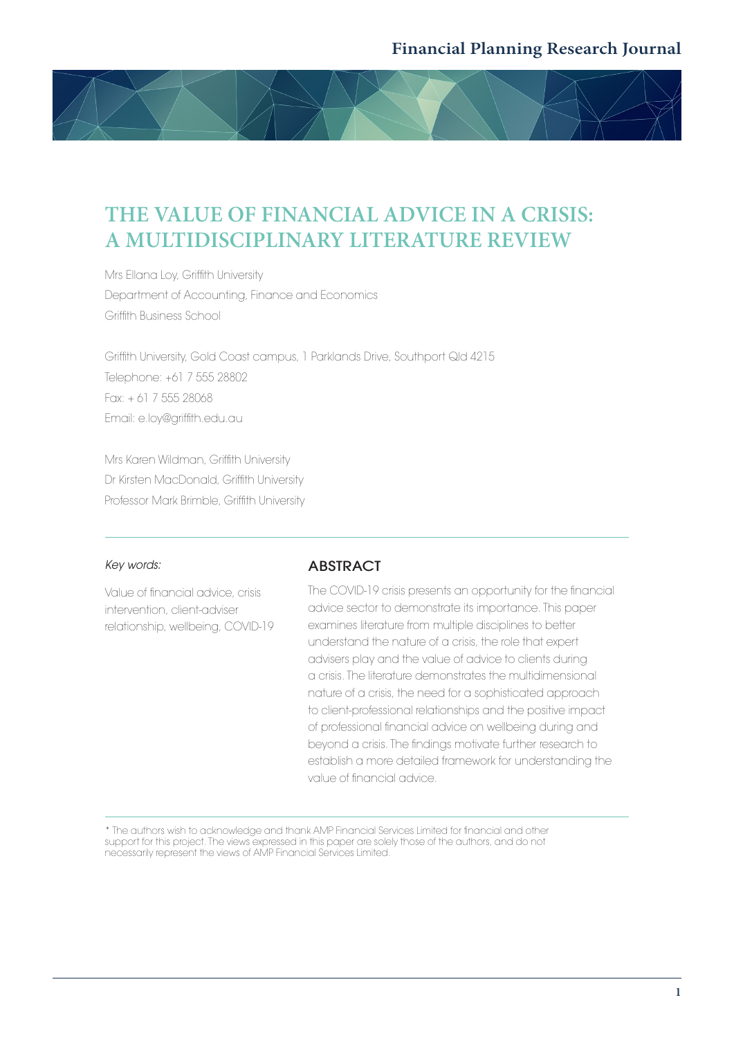# **THE VALUE OF FINANCIAL ADVICE IN A CRISIS: A MULTIDISCIPLINARY LITERATURE REVIEW**

Mrs Ellana Loy, Griffith University Department of Accounting, Finance and Economics Griffith Business School

Griffith University, Gold Coast campus, 1 Parklands Drive, Southport Qld 4215 Telephone: +61 7 555 28802 Fax: + 61 7 555 28068 Email: e.loy@griffith.edu.au

Mrs Karen Wildman, Griffith University Dr Kirsten MacDonald, Griffith University Professor Mark Brimble, Griffith University

#### *Key words:*

Value of financial advice, crisis intervention, client-adviser relationship, wellbeing, COVID-19

#### **ABSTRACT**

The COVID-19 crisis presents an opportunity for the financial advice sector to demonstrate its importance. This paper examines literature from multiple disciplines to better understand the nature of a crisis, the role that expert advisers play and the value of advice to clients during a crisis. The literature demonstrates the multidimensional nature of a crisis, the need for a sophisticated approach to client-professional relationships and the positive impact of professional financial advice on wellbeing during and beyond a crisis. The findings motivate further research to establish a more detailed framework for understanding the value of financial advice.

\* The authors wish to acknowledge and thank AMP Financial Services Limited for financial and other support for this project. The views expressed in this paper are solely those of the authors, and do not necessarily represent the views of AMP Financial Services Limited.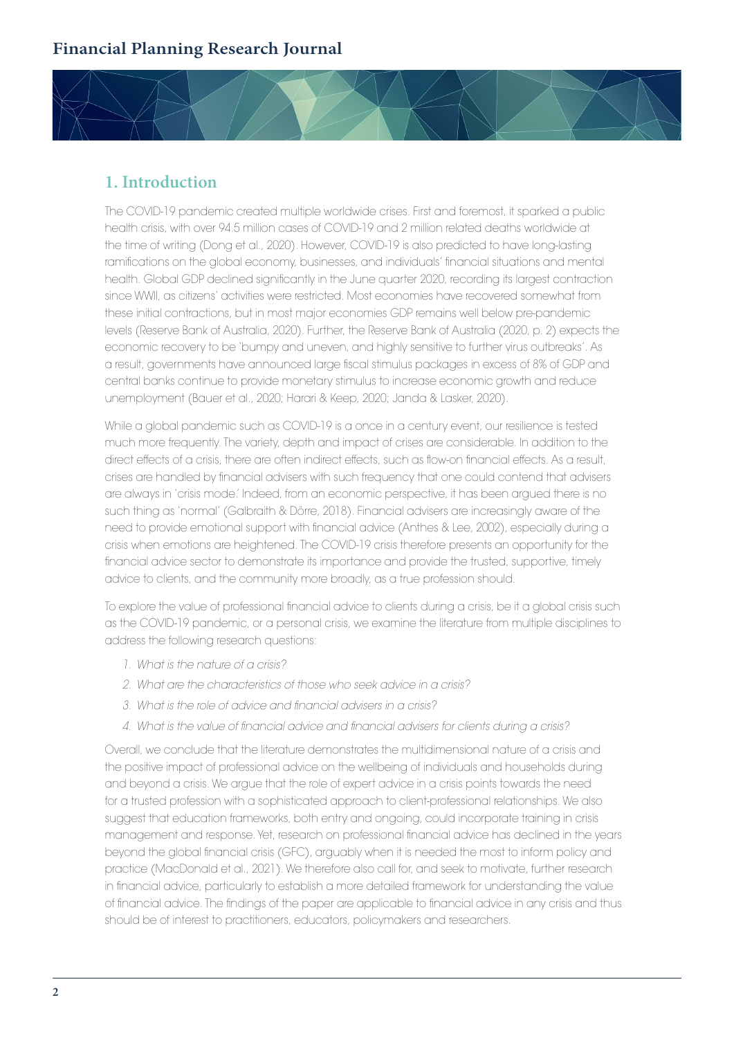## **1. Introduction**

The COVID-19 pandemic created multiple worldwide crises. First and foremost, it sparked a public health crisis, with over 94.5 million cases of COVID-19 and 2 million related deaths worldwide at the time of writing (Dong et al., 2020). However, COVID-19 is also predicted to have long-lasting ramifications on the global economy, businesses, and individuals' financial situations and mental health. Global GDP declined significantly in the June quarter 2020, recording its largest contraction since WWII, as citizens' activities were restricted. Most economies have recovered somewhat from these initial contractions, but in most major economies GDP remains well below pre-pandemic levels (Reserve Bank of Australia, 2020). Further, the Reserve Bank of Australia (2020, p. 2) expects the economic recovery to be 'bumpy and uneven, and highly sensitive to further virus outbreaks'. As a result, governments have announced large fiscal stimulus packages in excess of 8% of GDP and central banks continue to provide monetary stimulus to increase economic growth and reduce unemployment (Bauer et al., 2020; Harari & Keep, 2020; Janda & Lasker, 2020).

While a global pandemic such as COVID-19 is a once in a century event, our resilience is tested much more frequently. The variety, depth and impact of crises are considerable. In addition to the direct effects of a crisis, there are often indirect effects, such as flow-on financial effects. As a result, crises are handled by financial advisers with such frequency that one could contend that advisers are always in 'crisis mode.' Indeed, from an economic perspective, it has been argued there is no such thing as 'normal' (Galbraith & Dörre, 2018). Financial advisers are increasingly aware of the need to provide emotional support with financial advice (Anthes & Lee, 2002), especially during a crisis when emotions are heightened. The COVID-19 crisis therefore presents an opportunity for the financial advice sector to demonstrate its importance and provide the trusted, supportive, timely advice to clients, and the community more broadly, as a true profession should.

To explore the value of professional financial advice to clients during a crisis, be it a global crisis such as the COVID-19 pandemic, or a personal crisis, we examine the literature from multiple disciplines to address the following research questions:

- *1. What is the nature of a crisis?*
- *2. What are the characteristics of those who seek advice in a crisis?*
- *3. What is the role of advice and financial advisers in a crisis?*
- *4. What is the value of financial advice and financial advisers for clients during a crisis?*

Overall, we conclude that the literature demonstrates the multidimensional nature of a crisis and the positive impact of professional advice on the wellbeing of individuals and households during and beyond a crisis. We argue that the role of expert advice in a crisis points towards the need for a trusted profession with a sophisticated approach to client-professional relationships. We also suggest that education frameworks, both entry and ongoing, could incorporate training in crisis management and response. Yet, research on professional financial advice has declined in the years beyond the global financial crisis (GFC), arguably when it is needed the most to inform policy and practice (MacDonald et al., 2021). We therefore also call for, and seek to motivate, further research in financial advice, particularly to establish a more detailed framework for understanding the value of financial advice. The findings of the paper are applicable to financial advice in any crisis and thus should be of interest to practitioners, educators, policymakers and researchers.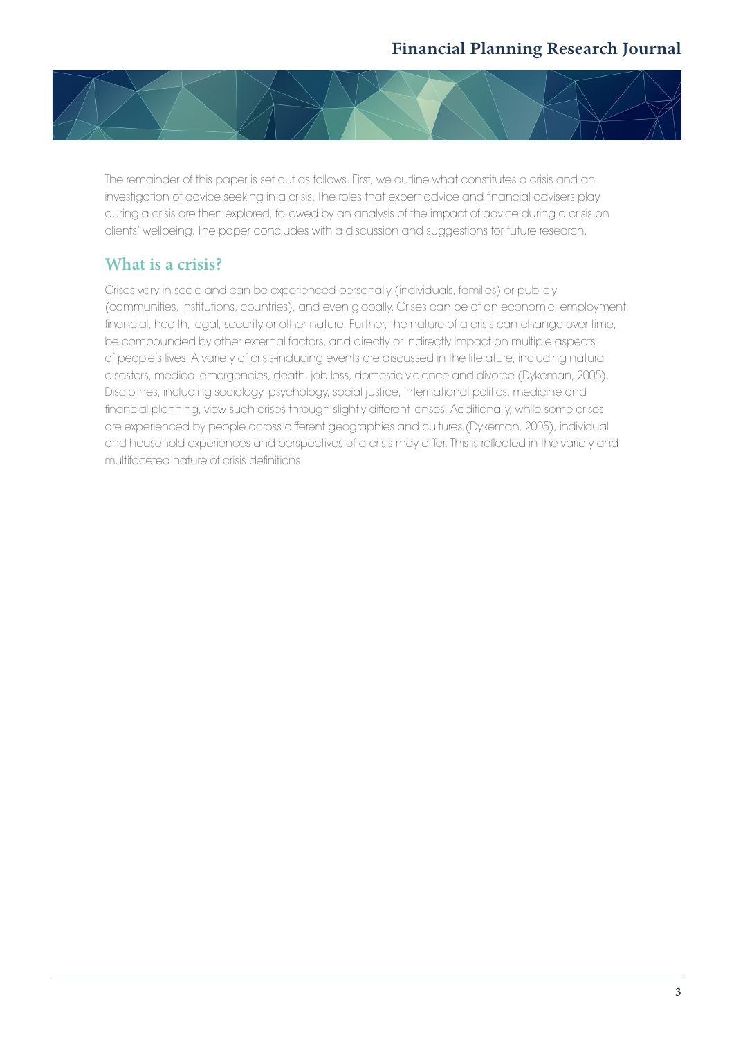

The remainder of this paper is set out as follows. First, we outline what constitutes a crisis and an investigation of advice seeking in a crisis. The roles that expert advice and financial advisers play during a crisis are then explored, followed by an analysis of the impact of advice during a crisis on clients' wellbeing. The paper concludes with a discussion and suggestions for future research.

## **What is a crisis?**

Crises vary in scale and can be experienced personally (individuals, families) or publicly (communities, institutions, countries), and even globally. Crises can be of an economic, employment, financial, health, legal, security or other nature. Further, the nature of a crisis can change over time, be compounded by other external factors, and directly or indirectly impact on multiple aspects of people's lives. A variety of crisis-inducing events are discussed in the literature, including natural disasters, medical emergencies, death, job loss, domestic violence and divorce (Dykeman, 2005). Disciplines, including sociology, psychology, social justice, international politics, medicine and financial planning, view such crises through slightly different lenses. Additionally, while some crises are experienced by people across different geographies and cultures (Dykeman, 2005), individual and household experiences and perspectives of a crisis may differ. This is reflected in the variety and multifaceted nature of crisis definitions.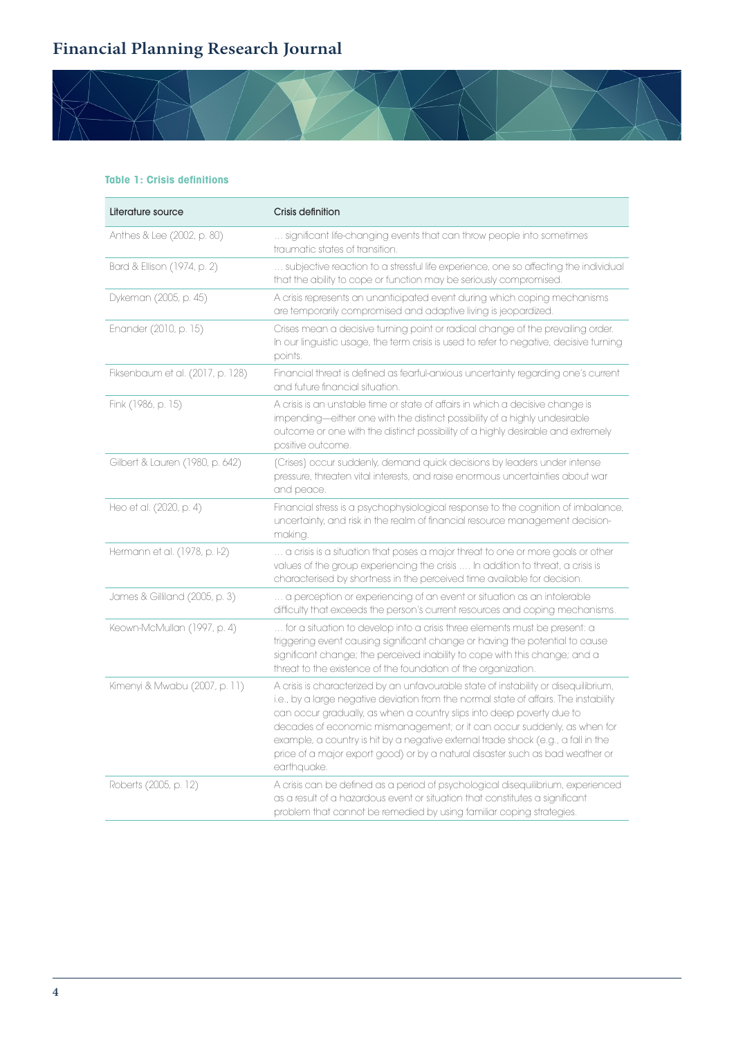

| Literature source                | Crisis definition                                                                                                                                                                                                                                                                                                                                                                                                                                                                                                       |
|----------------------------------|-------------------------------------------------------------------------------------------------------------------------------------------------------------------------------------------------------------------------------------------------------------------------------------------------------------------------------------------------------------------------------------------------------------------------------------------------------------------------------------------------------------------------|
| Anthes & Lee (2002, p. 80)       | significant life-changing events that can throw people into sometimes<br>traumatic states of transition.                                                                                                                                                                                                                                                                                                                                                                                                                |
| Bard & Ellison (1974, p. 2)      | subjective reaction to a stressful life experience, one so affecting the individual<br>that the ability to cope or function may be seriously compromised.                                                                                                                                                                                                                                                                                                                                                               |
| Dykeman (2005, p. 45)            | A crisis represents an unanticipated event during which coping mechanisms<br>are temporarily compromised and adaptive living is jeopardized.                                                                                                                                                                                                                                                                                                                                                                            |
| Enander (2010, p. 15)            | Crises mean a decisive turning point or radical change of the prevailing order.<br>In our linguistic usage, the term crisis is used to refer to negative, decisive turning<br>points.                                                                                                                                                                                                                                                                                                                                   |
| Fiksenbaum et al. (2017, p. 128) | Financial threat is defined as fearful-anxious uncertainty regarding one's current<br>and future financial situation.                                                                                                                                                                                                                                                                                                                                                                                                   |
| Fink (1986, p. 15)               | A crisis is an unstable time or state of affairs in which a decisive change is<br>impending-either one with the distinct possibility of a highly undesirable<br>outcome or one with the distinct possibility of a highly desirable and extremely<br>positive outcome.                                                                                                                                                                                                                                                   |
| Gilbert & Lauren (1980, p. 642)  | (Crises) occur suddenly, demand quick decisions by leaders under intense<br>pressure, threaten vital interests, and raise enormous uncertainties about war<br>and peace.                                                                                                                                                                                                                                                                                                                                                |
| Heo et al. (2020, p. 4)          | Financial stress is a psychophysiological response to the cognition of imbalance,<br>uncertainty, and risk in the realm of financial resource management decision-<br>making.                                                                                                                                                                                                                                                                                                                                           |
| Hermann et al. (1978, p. I-2)    | a crisis is a situation that poses a major threat to one or more goals or other<br>values of the group experiencing the crisis  In addition to threat, a crisis is<br>characterised by shortness in the perceived time available for decision.                                                                                                                                                                                                                                                                          |
| James & Gilliland (2005, p. 3)   | a perception or experiencing of an event or situation as an intolerable<br>difficulty that exceeds the person's current resources and coping mechanisms.                                                                                                                                                                                                                                                                                                                                                                |
| Keown-McMullan (1997, p. 4)      | for a situation to develop into a crisis three elements must be present: a<br>triggering event causing significant change or having the potential to cause<br>significant change; the perceived inability to cope with this change; and a<br>threat to the existence of the foundation of the organization.                                                                                                                                                                                                             |
| Kimenyi & Mwabu (2007, p. 11)    | A crisis is characterized by an unfavourable state of instability or disequilibrium,<br>i.e., by a large negative deviation from the normal state of affairs. The instability<br>can occur gradually, as when a country slips into deep poverty due to<br>decades of economic mismanagement; or it can occur suddenly, as when for<br>example, a country is hit by a negative external trade shock (e.g., a fall in the<br>price of a major export good) or by a natural disaster such as bad weather or<br>earthquake. |
| Roberts (2005, p. 12)            | A crisis can be defined as a period of psychological disequilibrium, experienced<br>as a result of a hazardous event or situation that constitutes a significant<br>problem that cannot be remedied by using familiar coping strategies.                                                                                                                                                                                                                                                                                |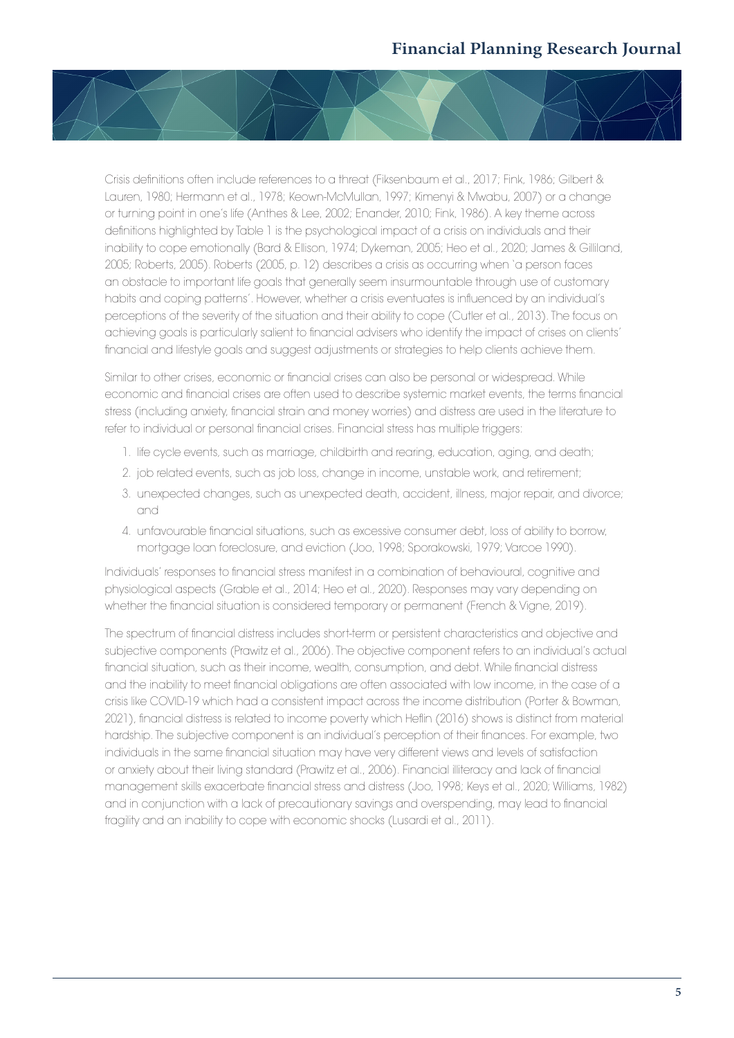

Crisis definitions often include references to a threat (Fiksenbaum et al., 2017; Fink, 1986; Gilbert & Lauren, 1980; Hermann et al., 1978; Keown-McMullan, 1997; Kimenyi & Mwabu, 2007) or a change or turning point in one's life (Anthes & Lee, 2002; Enander, 2010; Fink, 1986). A key theme across definitions highlighted by Table 1 is the psychological impact of a crisis on individuals and their inability to cope emotionally (Bard & Ellison, 1974; Dykeman, 2005; Heo et al., 2020; James & Gilliland, 2005; Roberts, 2005). Roberts (2005, p. 12) describes a crisis as occurring when 'a person faces an obstacle to important life goals that generally seem insurmountable through use of customary habits and coping patterns'. However, whether a crisis eventuates is influenced by an individual's perceptions of the severity of the situation and their ability to cope (Cutler et al., 2013). The focus on achieving goals is particularly salient to financial advisers who identify the impact of crises on clients' financial and lifestyle goals and suggest adjustments or strategies to help clients achieve them.

Similar to other crises, economic or financial crises can also be personal or widespread. While economic and financial crises are often used to describe systemic market events, the terms financial stress (including anxiety, financial strain and money worries) and distress are used in the literature to refer to individual or personal financial crises. Financial stress has multiple triggers:

- 1. life cycle events, such as marriage, childbirth and rearing, education, aging, and death;
- 2. job related events, such as job loss, change in income, unstable work, and retirement;
- 3. unexpected changes, such as unexpected death, accident, illness, major repair, and divorce; and
- 4. unfavourable financial situations, such as excessive consumer debt, loss of ability to borrow, mortgage loan foreclosure, and eviction (Joo, 1998; Sporakowski, 1979; Varcoe 1990).

Individuals' responses to financial stress manifest in a combination of behavioural, cognitive and physiological aspects (Grable et al., 2014; Heo et al., 2020). Responses may vary depending on whether the financial situation is considered temporary or permanent (French & Vigne, 2019).

The spectrum of financial distress includes short-term or persistent characteristics and objective and subjective components (Prawitz et al., 2006). The objective component refers to an individual's actual financial situation, such as their income, wealth, consumption, and debt. While financial distress and the inability to meet financial obligations are often associated with low income, in the case of a crisis like COVID-19 which had a consistent impact across the income distribution (Porter & Bowman, 2021), financial distress is related to income poverty which Heflin (2016) shows is distinct from material hardship. The subjective component is an individual's perception of their finances. For example, two individuals in the same financial situation may have very different views and levels of satisfaction or anxiety about their living standard (Prawitz et al., 2006). Financial illiteracy and lack of financial management skills exacerbate financial stress and distress (Joo, 1998; Keys et al., 2020; Williams, 1982) and in conjunction with a lack of precautionary savings and overspending, may lead to financial fragility and an inability to cope with economic shocks (Lusardi et al., 2011).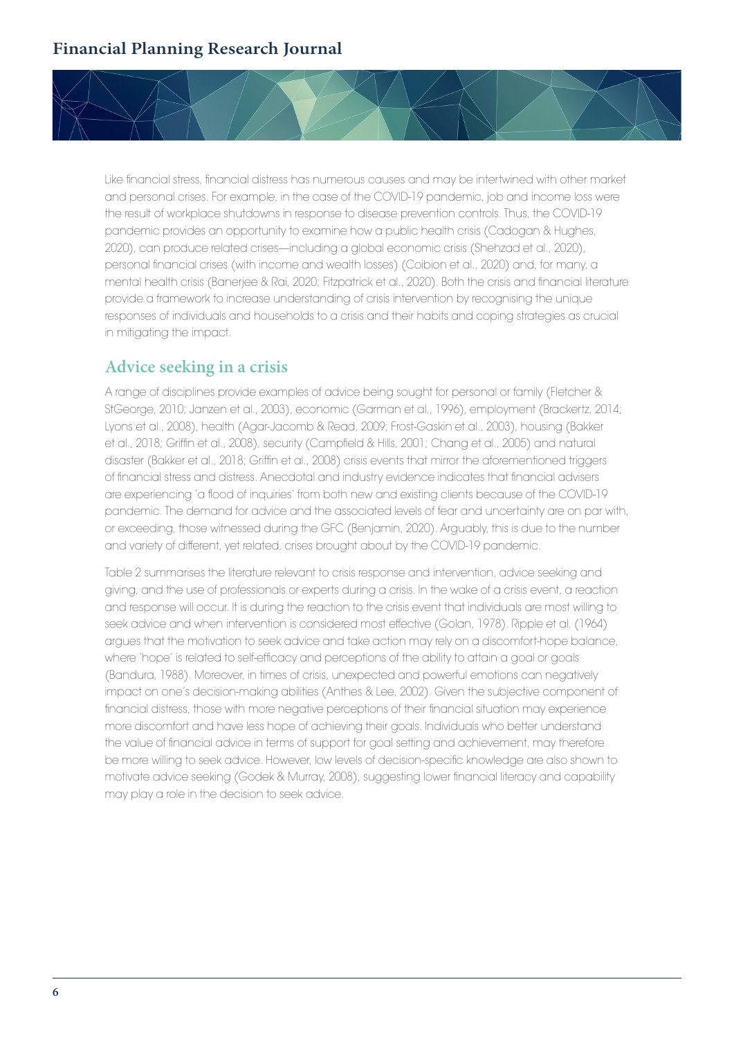Like financial stress, financial distress has numerous causes and may be intertwined with other market and personal crises. For example, in the case of the COVID-19 pandemic, job and income loss were the result of workplace shutdowns in response to disease prevention controls. Thus, the COVID-19 pandemic provides an opportunity to examine how a public health crisis (Cadogan & Hughes, 2020), can produce related crises—including a global economic crisis (Shehzad et al., 2020), personal financial crises (with income and wealth losses) (Coibion et al., 2020) and, for many, a mental health crisis (Banerjee & Rai, 2020; Fitzpatrick et al., 2020). Both the crisis and financial literature provide a framework to increase understanding of crisis intervention by recognising the unique responses of individuals and households to a crisis and their habits and coping strategies as crucial in mitigating the impact.

#### **Advice seeking in a crisis**

A range of disciplines provide examples of advice being sought for personal or family (Fletcher & StGeorge, 2010; Janzen et al., 2003), economic (Garman et al., 1996), employment (Brackertz, 2014; Lyons et al., 2008), health (Agar-Jacomb & Read, 2009; Frost-Gaskin et al., 2003), housing (Bakker et al., 2018; Griffin et al., 2008), security (Campfield & Hills, 2001; Chang et al., 2005) and natural disaster (Bakker et al., 2018; Griffin et al., 2008) crisis events that mirror the aforementioned triggers of financial stress and distress. Anecdotal and industry evidence indicates that financial advisers are experiencing 'a flood of inquiries' from both new and existing clients because of the COVID-19 pandemic. The demand for advice and the associated levels of fear and uncertainty are on par with, or exceeding, those witnessed during the GFC (Benjamin, 2020). Arguably, this is due to the number and variety of different, yet related, crises brought about by the COVID-19 pandemic.

Table 2 summarises the literature relevant to crisis response and intervention, advice seeking and giving, and the use of professionals or experts during a crisis. In the wake of a crisis event, a reaction and response will occur. It is during the reaction to the crisis event that individuals are most willing to seek advice and when intervention is considered most effective (Golan, 1978). Ripple et al. (1964) argues that the motivation to seek advice and take action may rely on a discomfort-hope balance, where 'hope' is related to self-efficacy and perceptions of the ability to attain a goal or goals (Bandura, 1988). Moreover, in times of crisis, unexpected and powerful emotions can negatively impact on one's decision-making abilities (Anthes & Lee, 2002). Given the subjective component of financial distress, those with more negative perceptions of their financial situation may experience more discomfort and have less hope of achieving their goals. Individuals who better understand the value of financial advice in terms of support for goal setting and achievement, may therefore be more willing to seek advice. However, low levels of decision-specific knowledge are also shown to motivate advice seeking (Godek & Murray, 2008), suggesting lower financial literacy and capability may play a role in the decision to seek advice.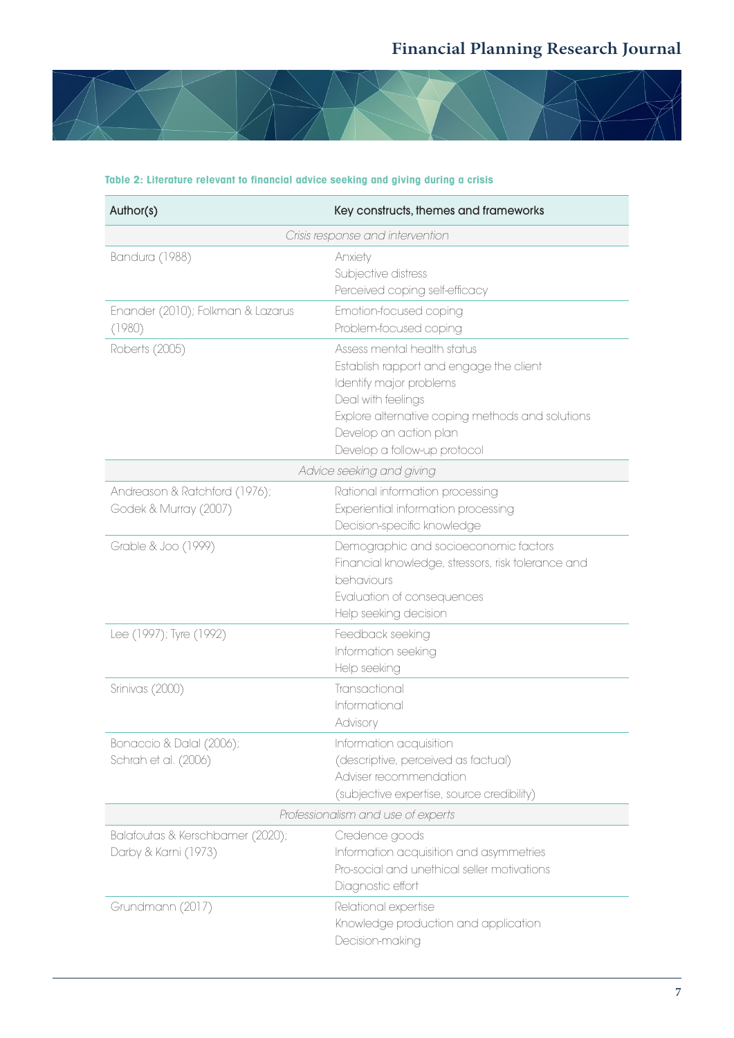

| Author(s)                                                | Key constructs, themes and frameworks                                                                                                                                                                                                 |
|----------------------------------------------------------|---------------------------------------------------------------------------------------------------------------------------------------------------------------------------------------------------------------------------------------|
|                                                          | Crisis response and intervention                                                                                                                                                                                                      |
| Bandura (1988)                                           | Anxiety<br>Subjective distress<br>Perceived coping self-efficacy                                                                                                                                                                      |
| Enander (2010); Folkman & Lazarus<br>(1980)              | Emotion-focused coping<br>Problem-focused coping                                                                                                                                                                                      |
| Roberts (2005)                                           | Assess mental health status<br>Establish rapport and engage the client<br>Identify major problems<br>Deal with feelings<br>Explore alternative coping methods and solutions<br>Develop an action plan<br>Develop a follow-up protocol |
|                                                          | Advice seeking and giving                                                                                                                                                                                                             |
| Andreason & Ratchford (1976);<br>Godek & Murray (2007)   | Rational information processing<br>Experiential information processing<br>Decision-specific knowledge                                                                                                                                 |
| Grable & Joo (1999)                                      | Demographic and socioeconomic factors<br>Financial knowledge, stressors, risk tolerance and<br>behaviours<br>Evaluation of consequences<br>Help seeking decision                                                                      |
| Lee (1997); Tyre (1992)                                  | Feedback seeking<br>Information seeking<br>Help seeking                                                                                                                                                                               |
| Srinivas (2000)                                          | Transactional<br>Informational<br>Advisory                                                                                                                                                                                            |
| Bonaccio & Dalal (2006);<br>Schrah et al. (2006)         | Information acquisition<br>(descriptive, perceived as factual)<br>Adviser recommendation<br>(subjective expertise, source credibility)                                                                                                |
|                                                          | Professionalism and use of experts                                                                                                                                                                                                    |
| Balafoutas & Kerschbamer (2020);<br>Darby & Karni (1973) | Credence goods<br>Information acquisition and asymmetries<br>Pro-social and unethical seller motivations<br>Diagnostic effort                                                                                                         |
| Grundmann (2017)                                         | Relational expertise<br>Knowledge production and application<br>Decision-making                                                                                                                                                       |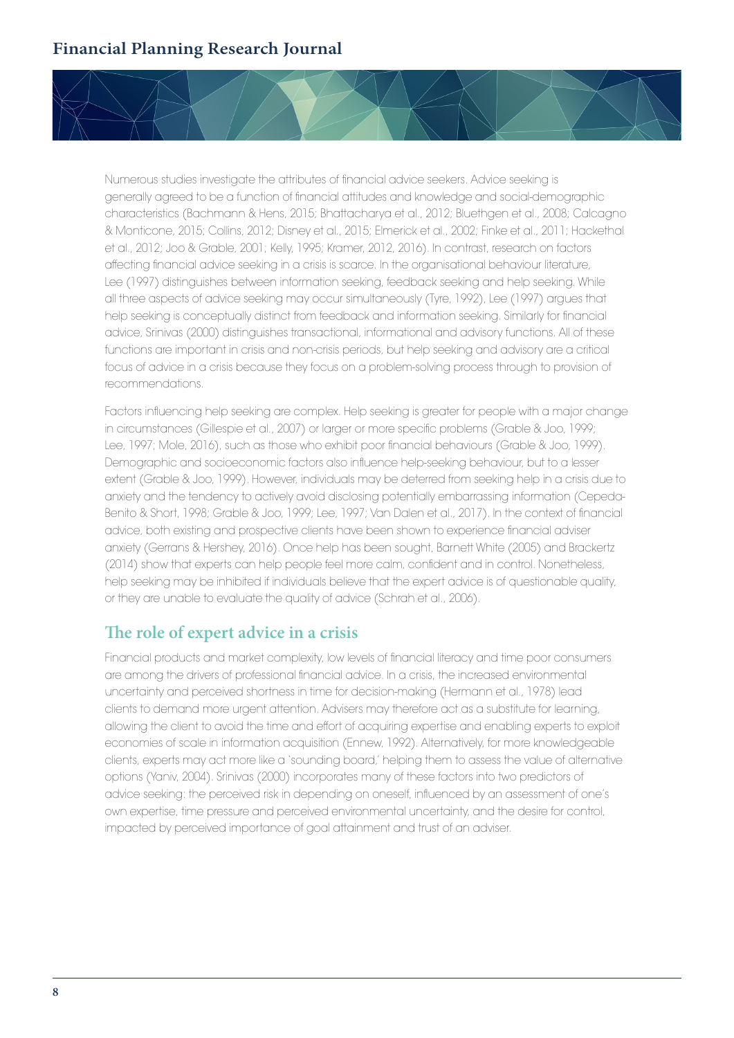

Numerous studies investigate the attributes of financial advice seekers. Advice seeking is generally agreed to be a function of financial attitudes and knowledge and social-demographic characteristics (Bachmann & Hens, 2015; Bhattacharya et al., 2012; Bluethgen et al., 2008; Calcagno & Monticone, 2015; Collins, 2012; Disney et al., 2015; Elmerick et al., 2002; Finke et al., 2011; Hackethal et al., 2012; Joo & Grable, 2001; Kelly, 1995; Kramer, 2012, 2016). In contrast, research on factors affecting financial advice seeking in a crisis is scarce. In the organisational behaviour literature, Lee (1997) distinguishes between information seeking, feedback seeking and help seeking. While all three aspects of advice seeking may occur simultaneously (Tyre, 1992), Lee (1997) argues that help seeking is conceptually distinct from feedback and information seeking. Similarly for financial advice, Srinivas (2000) distinguishes transactional, informational and advisory functions. All of these functions are important in crisis and non-crisis periods, but help seeking and advisory are a critical focus of advice in a crisis because they focus on a problem-solving process through to provision of recommendations.

Factors influencing help seeking are complex. Help seeking is greater for people with a major change in circumstances (Gillespie et al., 2007) or larger or more specific problems (Grable & Joo, 1999; Lee, 1997; Mole, 2016), such as those who exhibit poor financial behaviours (Grable & Joo, 1999). Demographic and socioeconomic factors also influence help-seeking behaviour, but to a lesser extent (Grable & Joo, 1999). However, individuals may be deterred from seeking help in a crisis due to anxiety and the tendency to actively avoid disclosing potentially embarrassing information (Cepeda-Benito & Short, 1998; Grable & Joo, 1999; Lee, 1997; Van Dalen et al., 2017). In the context of financial advice, both existing and prospective clients have been shown to experience financial adviser anxiety (Gerrans & Hershey, 2016). Once help has been sought, Barnett White (2005) and Brackertz (2014) show that experts can help people feel more calm, confident and in control. Nonetheless, help seeking may be inhibited if individuals believe that the expert advice is of questionable quality, or they are unable to evaluate the quality of advice (Schrah et al., 2006).

### **The role of expert advice in a crisis**

Financial products and market complexity, low levels of financial literacy and time poor consumers are among the drivers of professional financial advice. In a crisis, the increased environmental uncertainty and perceived shortness in time for decision-making (Hermann et al., 1978) lead clients to demand more urgent attention. Advisers may therefore act as a substitute for learning, allowing the client to avoid the time and effort of acquiring expertise and enabling experts to exploit economies of scale in information acquisition (Ennew, 1992). Alternatively, for more knowledgeable clients, experts may act more like a 'sounding board,' helping them to assess the value of alternative options (Yaniv, 2004). Srinivas (2000) incorporates many of these factors into two predictors of advice seeking: the perceived risk in depending on oneself, influenced by an assessment of one's own expertise, time pressure and perceived environmental uncertainty, and the desire for control, impacted by perceived importance of goal attainment and trust of an adviser.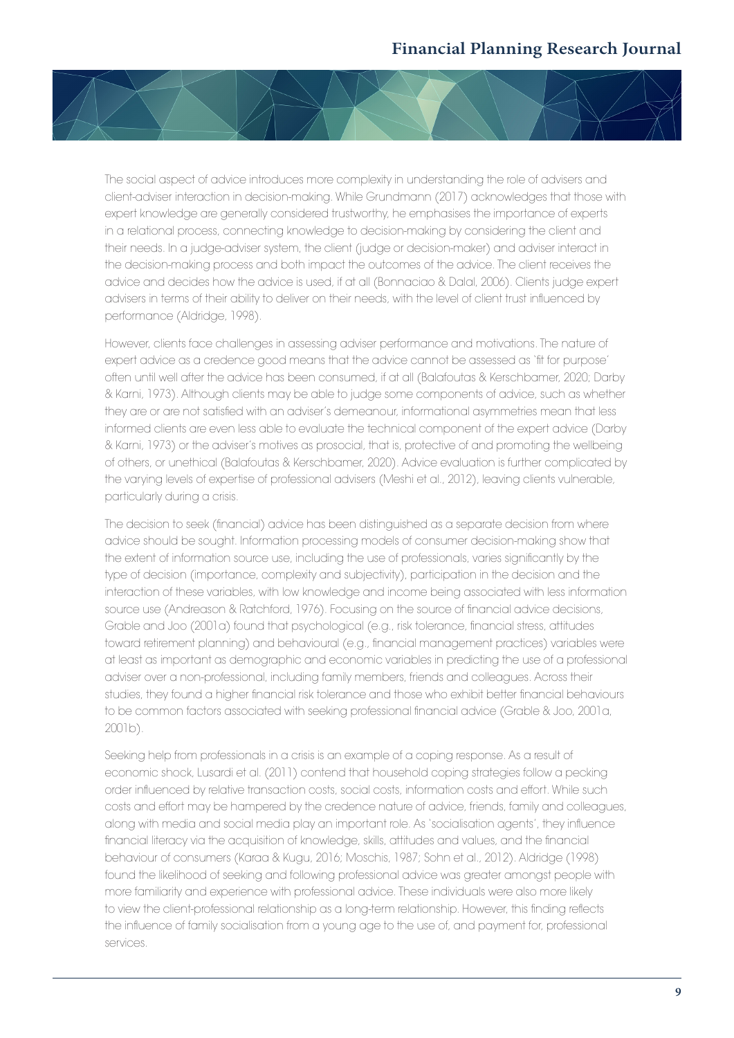

The social aspect of advice introduces more complexity in understanding the role of advisers and client-adviser interaction in decision-making. While Grundmann (2017) acknowledges that those with expert knowledge are generally considered trustworthy, he emphasises the importance of experts in a relational process, connecting knowledge to decision-making by considering the client and their needs. In a judge-adviser system, the client (judge or decision-maker) and adviser interact in the decision-making process and both impact the outcomes of the advice. The client receives the advice and decides how the advice is used, if at all (Bonnaciao & Dalal, 2006). Clients judge expert advisers in terms of their ability to deliver on their needs, with the level of client trust influenced by performance (Aldridge, 1998).

However, clients face challenges in assessing adviser performance and motivations. The nature of expert advice as a credence good means that the advice cannot be assessed as 'fit for purpose' often until well after the advice has been consumed, if at all (Balafoutas & Kerschbamer, 2020; Darby & Karni, 1973). Although clients may be able to judge some components of advice, such as whether they are or are not satisfied with an adviser's demeanour, informational asymmetries mean that less informed clients are even less able to evaluate the technical component of the expert advice (Darby & Karni, 1973) or the adviser's motives as prosocial, that is, protective of and promoting the wellbeing of others, or unethical (Balafoutas & Kerschbamer, 2020). Advice evaluation is further complicated by the varying levels of expertise of professional advisers (Meshi et al., 2012), leaving clients vulnerable, particularly during a crisis.

The decision to seek (financial) advice has been distinguished as a separate decision from where advice should be sought. Information processing models of consumer decision-making show that the extent of information source use, including the use of professionals, varies significantly by the type of decision (importance, complexity and subjectivity), participation in the decision and the interaction of these variables, with low knowledge and income being associated with less information source use (Andreason & Ratchford, 1976). Focusing on the source of financial advice decisions, Grable and Joo (2001a) found that psychological (e.g., risk tolerance, financial stress, attitudes toward retirement planning) and behavioural (e.g., financial management practices) variables were at least as important as demographic and economic variables in predicting the use of a professional adviser over a non-professional, including family members, friends and colleagues. Across their studies, they found a higher financial risk tolerance and those who exhibit better financial behaviours to be common factors associated with seeking professional financial advice (Grable & Joo, 2001a, 2001b).

Seeking help from professionals in a crisis is an example of a coping response. As a result of economic shock, Lusardi et al. (2011) contend that household coping strategies follow a pecking order influenced by relative transaction costs, social costs, information costs and effort. While such costs and effort may be hampered by the credence nature of advice, friends, family and colleagues, along with media and social media play an important role. As 'socialisation agents', they influence financial literacy via the acquisition of knowledge, skills, attitudes and values, and the financial behaviour of consumers (Karaa & Kugu, 2016; Moschis, 1987; Sohn et al., 2012). Aldridge (1998) found the likelihood of seeking and following professional advice was greater amongst people with more familiarity and experience with professional advice. These individuals were also more likely to view the client-professional relationship as a long-term relationship. However, this finding reflects the influence of family socialisation from a young age to the use of, and payment for, professional services.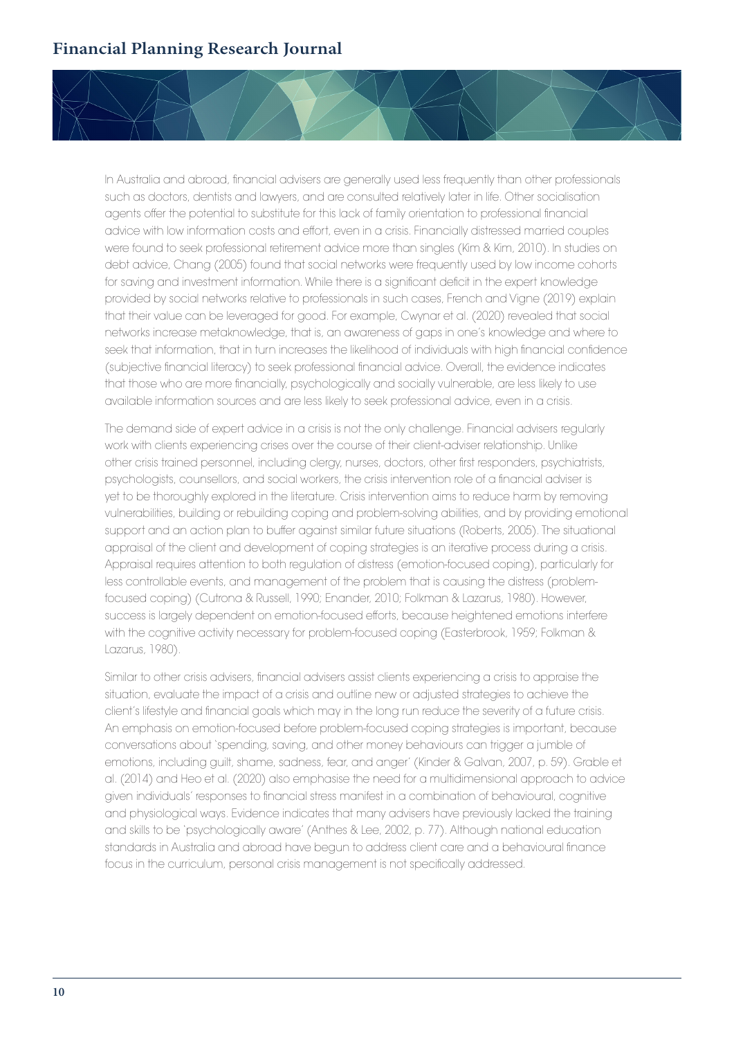In Australia and abroad, financial advisers are generally used less frequently than other professionals such as doctors, dentists and lawyers, and are consulted relatively later in life. Other socialisation agents offer the potential to substitute for this lack of family orientation to professional financial advice with low information costs and effort, even in a crisis. Financially distressed married couples were found to seek professional retirement advice more than singles (Kim & Kim, 2010). In studies on debt advice, Chang (2005) found that social networks were frequently used by low income cohorts for saving and investment information. While there is a significant deficit in the expert knowledge provided by social networks relative to professionals in such cases, French and Vigne (2019) explain that their value can be leveraged for good. For example, Cwynar et al. (2020) revealed that social networks increase metaknowledge, that is, an awareness of gaps in one's knowledge and where to seek that information, that in turn increases the likelihood of individuals with high financial confidence (subjective financial literacy) to seek professional financial advice. Overall, the evidence indicates that those who are more financially, psychologically and socially vulnerable, are less likely to use available information sources and are less likely to seek professional advice, even in a crisis.

The demand side of expert advice in a crisis is not the only challenge. Financial advisers regularly work with clients experiencing crises over the course of their client-adviser relationship. Unlike other crisis trained personnel, including clergy, nurses, doctors, other first responders, psychiatrists, psychologists, counsellors, and social workers, the crisis intervention role of a financial adviser is yet to be thoroughly explored in the literature. Crisis intervention aims to reduce harm by removing vulnerabilities, building or rebuilding coping and problem-solving abilities, and by providing emotional support and an action plan to buffer against similar future situations (Roberts, 2005). The situational appraisal of the client and development of coping strategies is an iterative process during a crisis. Appraisal requires attention to both regulation of distress (emotion-focused coping), particularly for less controllable events, and management of the problem that is causing the distress (problemfocused coping) (Cutrona & Russell, 1990; Enander, 2010; Folkman & Lazarus, 1980). However, success is largely dependent on emotion-focused efforts, because heightened emotions interfere with the cognitive activity necessary for problem-focused coping (Easterbrook, 1959; Folkman & Lazarus, 1980).

Similar to other crisis advisers, financial advisers assist clients experiencing a crisis to appraise the situation, evaluate the impact of a crisis and outline new or adjusted strategies to achieve the client's lifestyle and financial goals which may in the long run reduce the severity of a future crisis. An emphasis on emotion-focused before problem-focused coping strategies is important, because conversations about 'spending, saving, and other money behaviours can trigger a jumble of emotions, including guilt, shame, sadness, fear, and anger' (Kinder & Galvan, 2007, p. 59). Grable et al. (2014) and Heo et al. (2020) also emphasise the need for a multidimensional approach to advice given individuals' responses to financial stress manifest in a combination of behavioural, cognitive and physiological ways. Evidence indicates that many advisers have previously lacked the training and skills to be 'psychologically aware' (Anthes & Lee, 2002, p. 77). Although national education standards in Australia and abroad have begun to address client care and a behavioural finance focus in the curriculum, personal crisis management is not specifically addressed.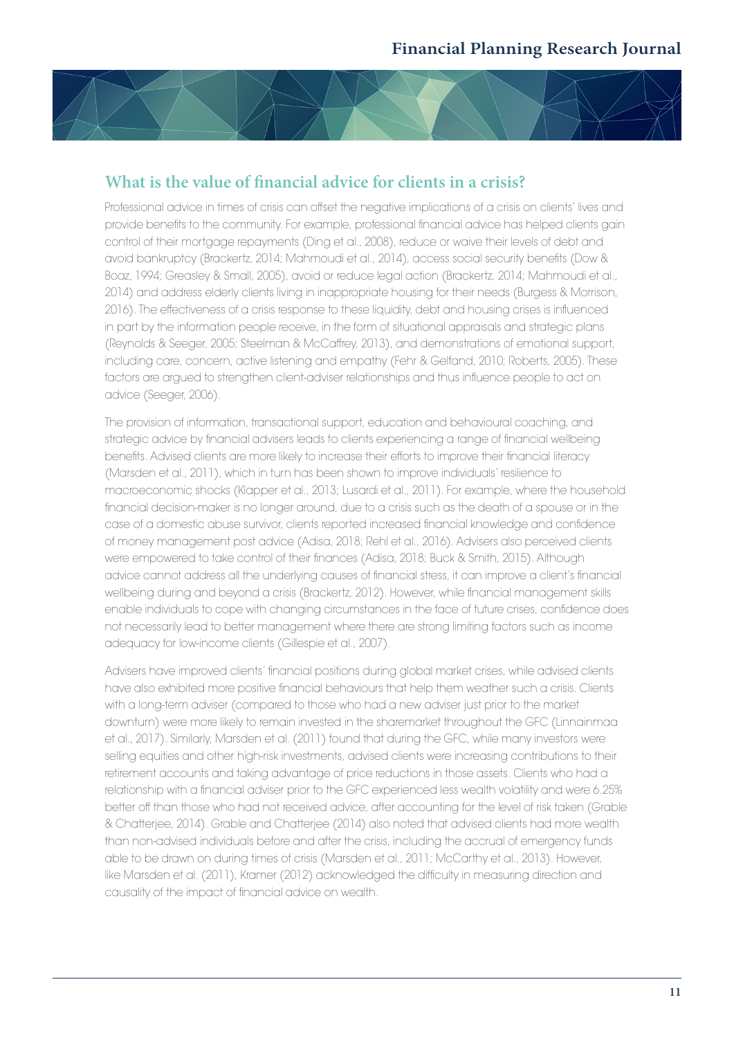## **What is the value of financial advice for clients in a crisis?**

Professional advice in times of crisis can offset the negative implications of a crisis on clients' lives and provide benefits to the community. For example, professional financial advice has helped clients gain control of their mortgage repayments (Ding et al., 2008), reduce or waive their levels of debt and avoid bankruptcy (Brackertz, 2014; Mahmoudi et al., 2014), access social security benefits (Dow & Boaz, 1994; Greasley & Small, 2005), avoid or reduce legal action (Brackertz, 2014; Mahmoudi et al., 2014) and address elderly clients living in inappropriate housing for their needs (Burgess & Morrison, 2016). The effectiveness of a crisis response to these liquidity, debt and housing crises is influenced in part by the information people receive, in the form of situational appraisals and strategic plans (Reynolds & Seeger, 2005; Steelman & McCaffrey, 2013), and demonstrations of emotional support, including care, concern, active listening and empathy (Fehr & Gelfand, 2010; Roberts, 2005). These factors are argued to strengthen client-adviser relationships and thus influence people to act on advice (Seeger, 2006).

The provision of information, transactional support, education and behavioural coaching, and strategic advice by financial advisers leads to clients experiencing a range of financial wellbeing benefits. Advised clients are more likely to increase their efforts to improve their financial literacy (Marsden et al., 2011), which in turn has been shown to improve individuals' resilience to macroeconomic shocks (Klapper et al., 2013; Lusardi et al., 2011). For example, where the household financial decision-maker is no longer around, due to a crisis such as the death of a spouse or in the case of a domestic abuse survivor, clients reported increased financial knowledge and confidence of money management post advice (Adisa, 2018; Rehl et al., 2016). Advisers also perceived clients were empowered to take control of their finances (Adisa, 2018; Buck & Smith, 2015). Although advice cannot address all the underlying causes of financial stress, it can improve a client's financial wellbeing during and beyond a crisis (Brackertz, 2012). However, while financial management skills enable individuals to cope with changing circumstances in the face of future crises, confidence does not necessarily lead to better management where there are strong limiting factors such as income adequacy for low-income clients (Gillespie et al., 2007).

Advisers have improved clients' financial positions during global market crises, while advised clients have also exhibited more positive financial behaviours that help them weather such a crisis. Clients with a long-term adviser (compared to those who had a new adviser just prior to the market downturn) were more likely to remain invested in the sharemarket throughout the GFC (Linnainmaa et al., 2017). Similarly, Marsden et al. (2011) found that during the GFC, while many investors were selling equities and other high-risk investments, advised clients were increasing contributions to their retirement accounts and taking advantage of price reductions in those assets. Clients who had a relationship with a financial adviser prior to the GFC experienced less wealth volatility and were 6.25% better off than those who had not received advice, after accounting for the level of risk taken (Grable & Chatterjee, 2014). Grable and Chatterjee (2014) also noted that advised clients had more wealth than non-advised individuals before and after the crisis, including the accrual of emergency funds able to be drawn on during times of crisis (Marsden et al., 2011; McCarthy et al., 2013). However, like Marsden et al. (2011), Kramer (2012) acknowledged the difficulty in measuring direction and causality of the impact of financial advice on wealth.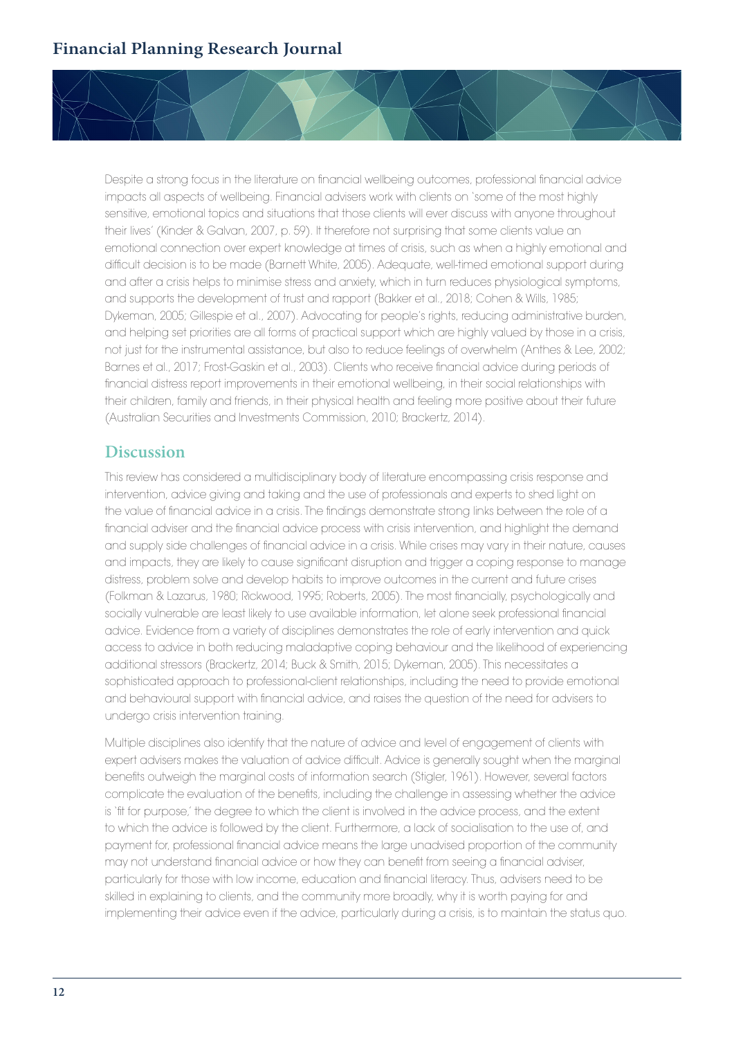

#### **Discussion**

This review has considered a multidisciplinary body of literature encompassing crisis response and intervention, advice giving and taking and the use of professionals and experts to shed light on the value of financial advice in a crisis. The findings demonstrate strong links between the role of a financial adviser and the financial advice process with crisis intervention, and highlight the demand and supply side challenges of financial advice in a crisis. While crises may vary in their nature, causes and impacts, they are likely to cause significant disruption and trigger a coping response to manage distress, problem solve and develop habits to improve outcomes in the current and future crises (Folkman & Lazarus, 1980; Rickwood, 1995; Roberts, 2005). The most financially, psychologically and socially vulnerable are least likely to use available information, let alone seek professional financial advice. Evidence from a variety of disciplines demonstrates the role of early intervention and quick access to advice in both reducing maladaptive coping behaviour and the likelihood of experiencing additional stressors (Brackertz, 2014; Buck & Smith, 2015; Dykeman, 2005). This necessitates a sophisticated approach to professional-client relationships, including the need to provide emotional and behavioural support with financial advice, and raises the question of the need for advisers to undergo crisis intervention training.

Multiple disciplines also identify that the nature of advice and level of engagement of clients with expert advisers makes the valuation of advice difficult. Advice is generally sought when the marginal benefits outweigh the marginal costs of information search (Stigler, 1961). However, several factors complicate the evaluation of the benefits, including the challenge in assessing whether the advice is 'fit for purpose,' the degree to which the client is involved in the advice process, and the extent to which the advice is followed by the client. Furthermore, a lack of socialisation to the use of, and payment for, professional financial advice means the large unadvised proportion of the community may not understand financial advice or how they can benefit from seeing a financial adviser, particularly for those with low income, education and financial literacy. Thus, advisers need to be skilled in explaining to clients, and the community more broadly, why it is worth paying for and implementing their advice even if the advice, particularly during a crisis, is to maintain the status quo.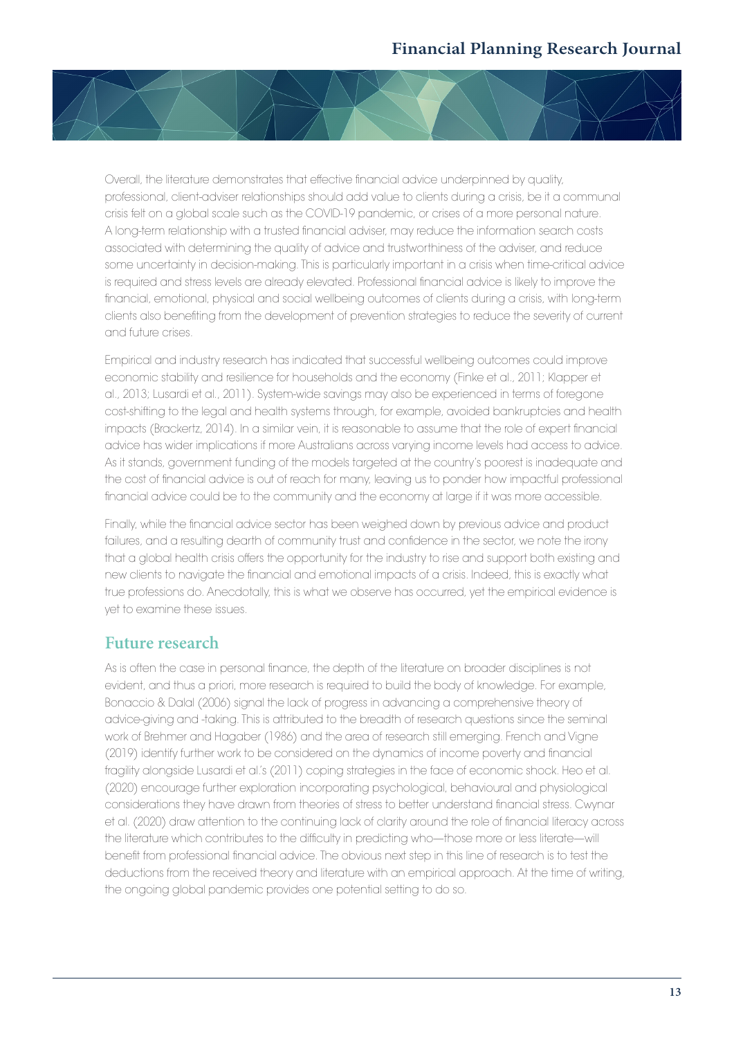

Overall, the literature demonstrates that effective financial advice underpinned by quality, professional, client-adviser relationships should add value to clients during a crisis, be it a communal crisis felt on a global scale such as the COVID-19 pandemic, or crises of a more personal nature. A long-term relationship with a trusted financial adviser, may reduce the information search costs associated with determining the quality of advice and trustworthiness of the adviser, and reduce some uncertainty in decision-making. This is particularly important in a crisis when time-critical advice is required and stress levels are already elevated. Professional financial advice is likely to improve the financial, emotional, physical and social wellbeing outcomes of clients during a crisis, with long-term clients also benefiting from the development of prevention strategies to reduce the severity of current and future crises.

Empirical and industry research has indicated that successful wellbeing outcomes could improve economic stability and resilience for households and the economy (Finke et al., 2011; Klapper et al., 2013; Lusardi et al., 2011). System-wide savings may also be experienced in terms of foregone cost-shifting to the legal and health systems through, for example, avoided bankruptcies and health impacts (Brackertz, 2014). In a similar vein, it is reasonable to assume that the role of expert financial advice has wider implications if more Australians across varying income levels had access to advice. As it stands, government funding of the models targeted at the country's poorest is inadequate and the cost of financial advice is out of reach for many, leaving us to ponder how impactful professional financial advice could be to the community and the economy at large if it was more accessible.

Finally, while the financial advice sector has been weighed down by previous advice and product failures, and a resulting dearth of community trust and confidence in the sector, we note the irony that a global health crisis offers the opportunity for the industry to rise and support both existing and new clients to navigate the financial and emotional impacts of a crisis. Indeed, this is exactly what true professions do. Anecdotally, this is what we observe has occurred, yet the empirical evidence is yet to examine these issues.

### **Future research**

As is often the case in personal finance, the depth of the literature on broader disciplines is not evident, and thus a priori, more research is required to build the body of knowledge. For example, Bonaccio & Dalal (2006) signal the lack of progress in advancing a comprehensive theory of advice-giving and -taking. This is attributed to the breadth of research questions since the seminal work of Brehmer and Hagaber (1986) and the area of research still emerging. French and Vigne (2019) identify further work to be considered on the dynamics of income poverty and financial fragility alongside Lusardi et al.'s (2011) coping strategies in the face of economic shock. Heo et al. (2020) encourage further exploration incorporating psychological, behavioural and physiological considerations they have drawn from theories of stress to better understand financial stress. Cwynar et al. (2020) draw attention to the continuing lack of clarity around the role of financial literacy across the literature which contributes to the difficulty in predicting who—those more or less literate—will benefit from professional financial advice. The obvious next step in this line of research is to test the deductions from the received theory and literature with an empirical approach. At the time of writing, the ongoing global pandemic provides one potential setting to do so.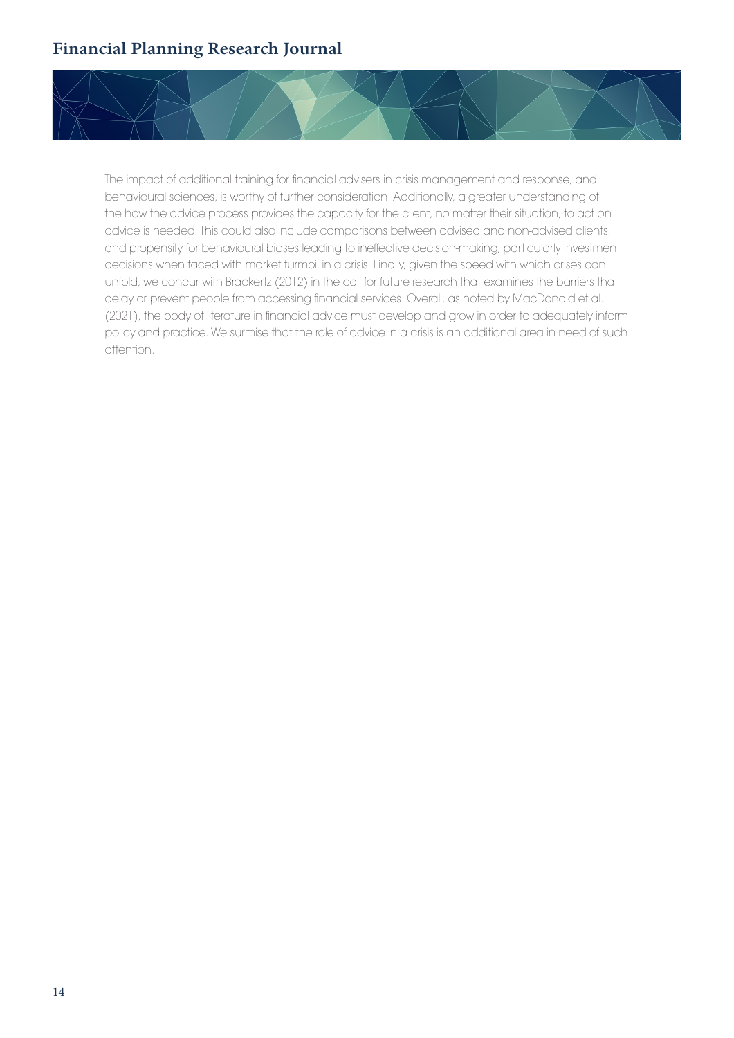

The impact of additional training for financial advisers in crisis management and response, and behavioural sciences, is worthy of further consideration. Additionally, a greater understanding of the how the advice process provides the capacity for the client, no matter their situation, to act on advice is needed. This could also include comparisons between advised and non-advised clients, and propensity for behavioural biases leading to ineffective decision-making, particularly investment decisions when faced with market turmoil in a crisis. Finally, given the speed with which crises can unfold, we concur with Brackertz (2012) in the call for future research that examines the barriers that delay or prevent people from accessing financial services. Overall, as noted by MacDonald et al. (2021), the body of literature in financial advice must develop and grow in order to adequately inform policy and practice. We surmise that the role of advice in a crisis is an additional area in need of such attention.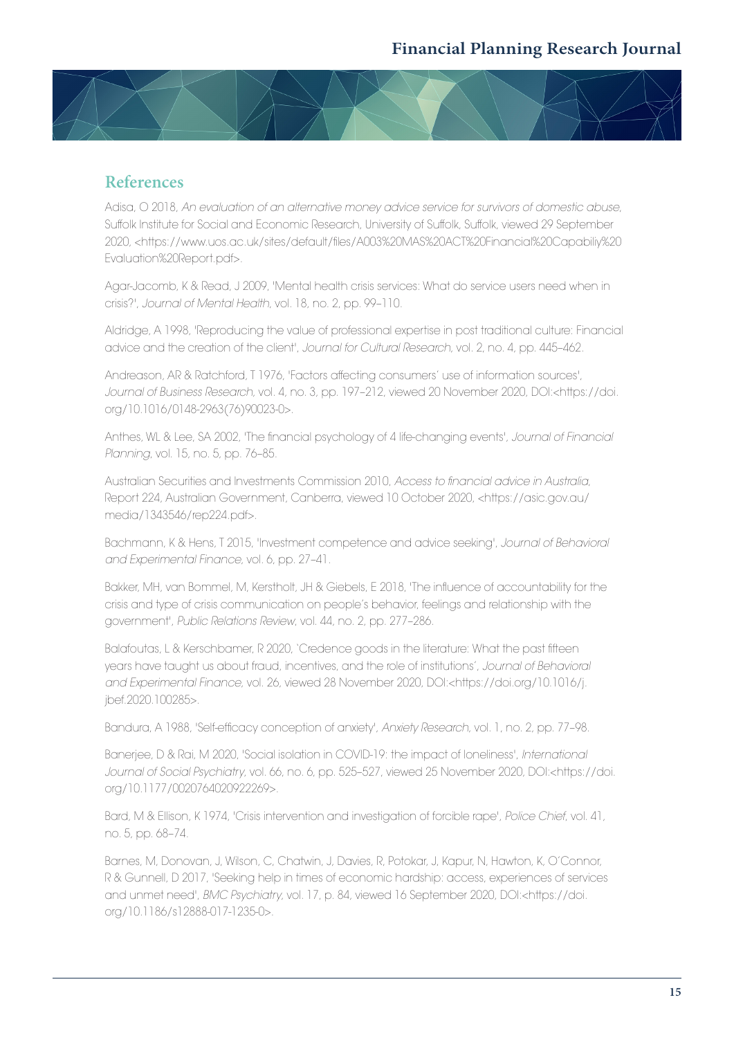

#### **References**

Adisa, O 2018, *An evaluation of an alternative money advice service for survivors of domestic abuse*, Suffolk Institute for Social and Economic Research, University of Suffolk, Suffolk, viewed 29 September 2020, <https://www.uos.ac.uk/sites/default/files/A003%20MAS%20ACT%20Financial%20Capabiliy%20 Evaluation%20Report.pdf>.

Agar-Jacomb, K & Read, J 2009, 'Mental health crisis services: What do service users need when in crisis?', *Journal of Mental Health*, vol. 18, no. 2, pp. 99–110.

Aldridge, A 1998, 'Reproducing the value of professional expertise in post traditional culture: Financial advice and the creation of the client', *Journal for Cultural Research*, vol. 2, no. 4, pp. 445–462.

Andreason, AR & Ratchford, T 1976, 'Factors affecting consumers' use of information sources', *Journal of Business Research*, vol. 4, no. 3, pp. 197–212, viewed 20 November 2020, DOI:<https://doi. org/10.1016/0148-2963(76)90023-0>.

Anthes, WL & Lee, SA 2002, 'The financial psychology of 4 life-changing events', *Journal of Financial Planning*, vol. 15, no. 5, pp. 76–85.

Australian Securities and Investments Commission 2010, *Access to financial advice in Australia*, Report 224, Australian Government, Canberra, viewed 10 October 2020, <https://asic.gov.au/ media/1343546/rep224.pdf>.

Bachmann, K & Hens, T 2015, 'Investment competence and advice seeking', *Journal of Behavioral and Experimental Finance*, vol. 6, pp. 27–41.

Bakker, MH, van Bommel, M, Kerstholt, JH & Giebels, E 2018, 'The influence of accountability for the crisis and type of crisis communication on people's behavior, feelings and relationship with the government', *Public Relations Review*, vol. 44, no. 2, pp. 277–286.

Balafoutas, L & Kerschbamer, R 2020, 'Credence goods in the literature: What the past fifteen years have taught us about fraud, incentives, and the role of institutions', *Journal of Behavioral and Experimental Finance,* vol. 26, viewed 28 November 2020, DOI:<https://doi.org/10.1016/j. jbef.2020.100285>.

Bandura, A 1988, 'Self-efficacy conception of anxiety', *Anxiety Research*, vol. 1, no. 2, pp. 77–98.

Banerjee, D & Rai, M 2020, 'Social isolation in COVID-19: the impact of loneliness', *International Journal of Social Psychiatry*, vol. 66, no. 6, pp. 525–527, viewed 25 November 2020, DOI:<https://doi. org/10.1177/0020764020922269>.

Bard, M & Ellison, K 1974, 'Crisis intervention and investigation of forcible rape', *Police Chief*, vol. 41, no. 5, pp. 68–74.

Barnes, M, Donovan, J, Wilson, C, Chatwin, J, Davies, R, Potokar, J, Kapur, N, Hawton, K, O'Connor, R & Gunnell, D 2017, 'Seeking help in times of economic hardship: access, experiences of services and unmet need', *BMC Psychiatry*, vol. 17, p. 84, viewed 16 September 2020, DOI:<https://doi. org/10.1186/s12888-017-1235-0>.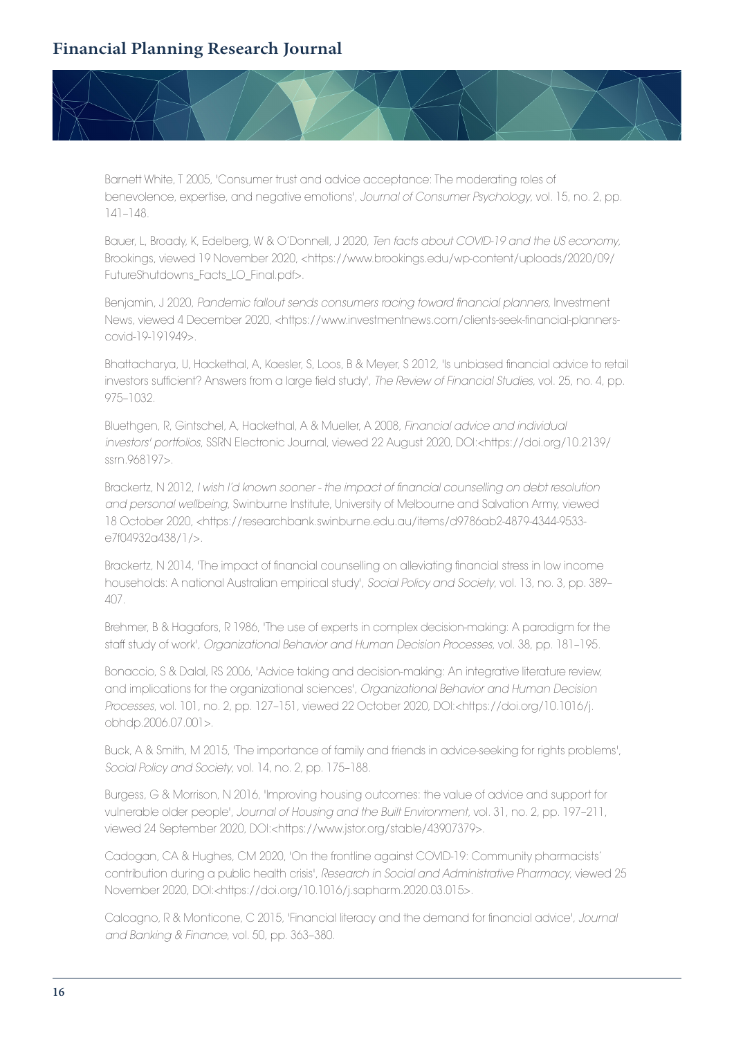

Barnett White, T 2005, 'Consumer trust and advice acceptance: The moderating roles of benevolence, expertise, and negative emotions', *Journal of Consumer Psychology*, vol. 15, no. 2, pp. 141–148.

Bauer, L, Broady, K, Edelberg, W & O'Donnell, J 2020, *Ten facts about COVID-19 and the US economy*, Brookings, viewed 19 November 2020, <https://www.brookings.edu/wp-content/uploads/2020/09/ FutureShutdowns\_Facts\_LO\_Final.pdf>.

Benjamin, J 2020, *Pandemic fallout sends consumers racing toward financial planners*, Investment News, viewed 4 December 2020, <https://www.investmentnews.com/clients-seek-financial-plannerscovid-19-191949>.

Bhattacharya, U, Hackethal, A, Kaesler, S, Loos, B & Meyer, S 2012, 'Is unbiased financial advice to retail investors sufficient? Answers from a large field study', *The Review of Financial Studies*, vol. 25, no. 4, pp. 975–1032.

Bluethgen, R, Gintschel, A, Hackethal, A & Mueller, A 2008, *Financial advice and individual investors' portfolios*, SSRN Electronic Journal, viewed 22 August 2020, DOI:<https://doi.org/10.2139/ ssrn.968197>.

Brackertz, N 2012, *I wish I'd known sooner - the impact of financial counselling on debt resolution and personal wellbeing*, Swinburne Institute, University of Melbourne and Salvation Army, viewed 18 October 2020, <https://researchbank.swinburne.edu.au/items/d9786ab2-4879-4344-9533 e7f04932a438/1/>.

Brackertz, N 2014, 'The impact of financial counselling on alleviating financial stress in low income households: A national Australian empirical study', *Social Policy and Society*, vol. 13, no. 3, pp. 389– 407.

Brehmer, B & Hagafors, R 1986, 'The use of experts in complex decision-making: A paradigm for the staff study of work', *Organizational Behavior and Human Decision Processes*, vol. 38, pp. 181–195.

Bonaccio, S & Dalal, RS 2006, 'Advice taking and decision-making: An integrative literature review, and implications for the organizational sciences', *Organizational Behavior and Human Decision Processes*, vol. 101, no. 2, pp. 127–151, viewed 22 October 2020, DOI:<https://doi.org/10.1016/j. obhdp.2006.07.001>.

Buck, A & Smith, M 2015, 'The importance of family and friends in advice-seeking for rights problems', *Social Policy and Society*, vol. 14, no. 2, pp. 175–188.

Burgess, G & Morrison, N 2016, 'Improving housing outcomes: the value of advice and support for vulnerable older people', *Journal of Housing and the Built Environment*, vol. 31, no. 2, pp. 197–211, viewed 24 September 2020, DOI:<https://www.jstor.org/stable/43907379>.

Cadogan, CA & Hughes, CM 2020, 'On the frontline against COVID-19: Community pharmacists' contribution during a public health crisis', *Research in Social and Administrative Pharmacy*, viewed 25 November 2020, DOI:<https://doi.org/10.1016/j.sapharm.2020.03.015>.

Calcagno, R & Monticone, C 2015, 'Financial literacy and the demand for financial advice', *Journal and Banking & Finance*, vol. 50, pp. 363–380.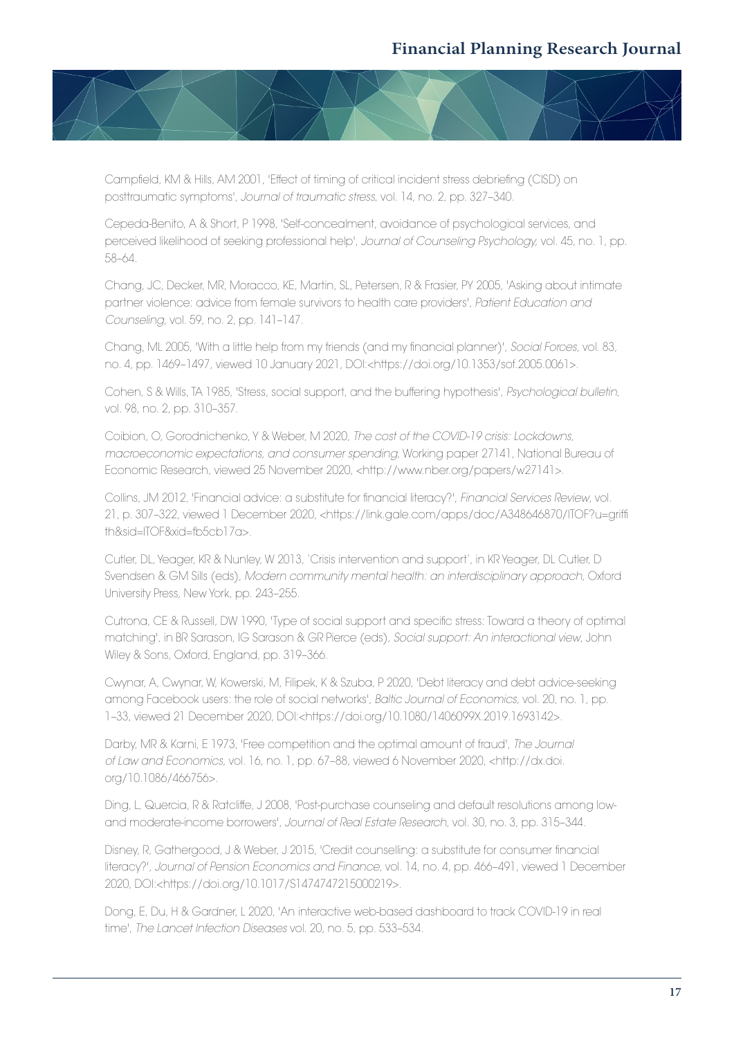

Campfield, KM & Hills, AM 2001, 'Effect of timing of critical incident stress debriefing (CISD) on posttraumatic symptoms', *Journal of traumatic stress*, vol. 14, no. 2, pp. 327–340.

Cepeda-Benito, A & Short, P 1998, 'Self-concealment, avoidance of psychological services, and perceived likelihood of seeking professional help', *Journal of Counseling Psychology,* vol. 45, no. 1, pp. 58–64.

Chang, JC, Decker, MR, Moracco, KE, Martin, SL, Petersen, R & Frasier, PY 2005, 'Asking about intimate partner violence: advice from female survivors to health care providers', *Patient Education and Counseling*, vol. 59, no. 2, pp. 141–147.

Chang, ML 2005, 'With a little help from my friends (and my financial planner)', *Social Forces*, vol. 83, no. 4, pp. 1469–1497, viewed 10 January 2021, DOI:<https://doi.org/10.1353/sof.2005.0061>.

Cohen, S & Wills, TA 1985, 'Stress, social support, and the buffering hypothesis', *Psychological bulletin*, vol. 98, no. 2, pp. 310–357.

Coibion, O, Gorodnichenko, Y & Weber, M 2020, *The cost of the COVID-19 crisis: Lockdowns, macroeconomic expectations, and consumer spending*, Working paper 27141, National Bureau of Economic Research, viewed 25 November 2020, <http://www.nber.org/papers/w27141>.

Collins, JM 2012, 'Financial advice: a substitute for financial literacy?', *Financial Services Review*, vol. 21, p. 307–322, viewed 1 December 2020, <https://link.gale.com/apps/doc/A348646870/ITOF?u=griffi th&sid=ITOF&xid=fb5cb17a>.

Cutler, DL, Yeager, KR & Nunley, W 2013, 'Crisis intervention and support', in KR Yeager, DL Cutler, D Svendsen & GM Sills (eds), *Modern community mental health: an interdisciplinary approach*, Oxford University Press, New York, pp. 243–255.

Cutrona, CE & Russell, DW 1990, 'Type of social support and specific stress: Toward a theory of optimal matching', in BR Sarason, IG Sarason & GR Pierce (eds), *Social support: An interactional view*, John Wiley & Sons, Oxford, England, pp. 319–366.

Cwynar, A, Cwynar, W, Kowerski, M, Filipek, K & Szuba, P 2020, 'Debt literacy and debt advice-seeking among Facebook users: the role of social networks', *Baltic Journal of Economics*, vol. 20, no. 1, pp. 1–33, viewed 21 December 2020, DOI:<https://doi.org/10.1080/1406099X.2019.1693142>.

Darby, MR & Karni, E 1973, 'Free competition and the optimal amount of fraud', *The Journal of Law and Economics*, vol. 16, no. 1, pp. 67–88, viewed 6 November 2020, <http://dx.doi. org/10.1086/466756>.

Ding, L, Quercia, R & Ratcliffe, J 2008, 'Post-purchase counseling and default resolutions among lowand moderate-income borrowers', *Journal of Real Estate Research*, vol. 30, no. 3, pp. 315–344.

Disney, R, Gathergood, J & Weber, J 2015, 'Credit counselling: a substitute for consumer financial literacy?', *Journal of Pension Economics and Finance*, vol. 14, no. 4, pp. 466–491, viewed 1 December 2020, DOI:<https://doi.org/10.1017/S1474747215000219>.

Dong, E, Du, H & Gardner, L 2020, 'An interactive web-based dashboard to track COVID-19 in real time', *The Lancet Infection Diseases* vol. 20, no. 5, pp. 533–534.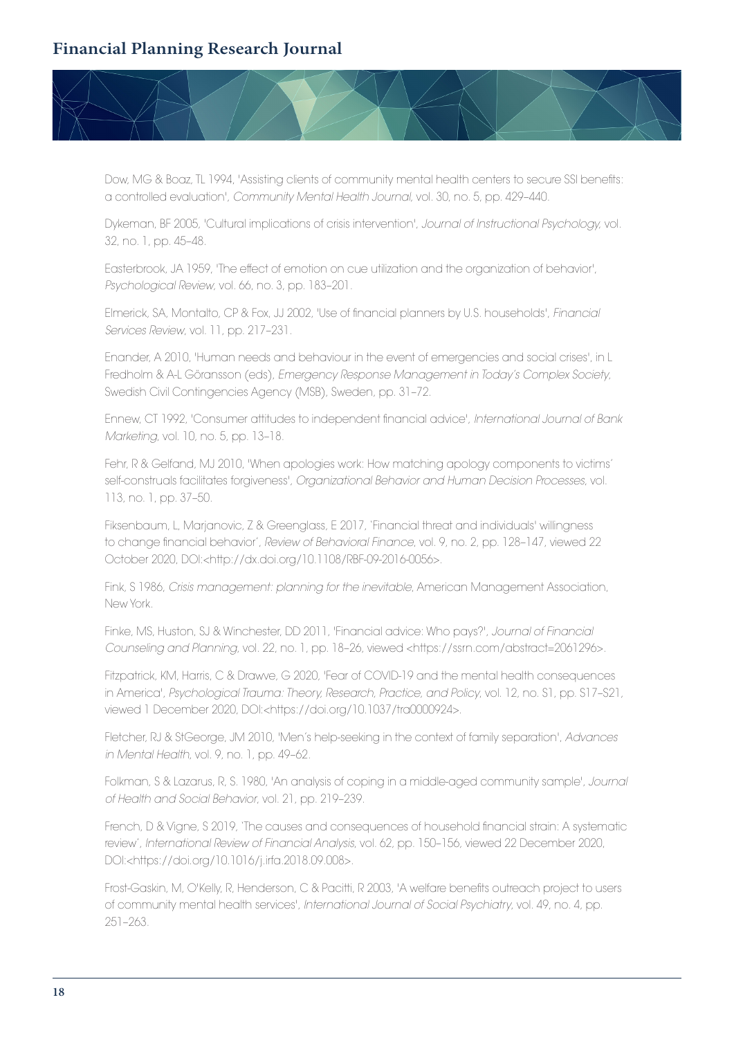

Dow, MG & Boaz, TL 1994, 'Assisting clients of community mental health centers to secure SSI benefits: a controlled evaluation', *Community Mental Health Journal*, vol. 30, no. 5, pp. 429–440.

Dykeman, BF 2005, 'Cultural implications of crisis intervention', *Journal of Instructional Psychology,* vol. 32, no. 1, pp. 45–48.

Easterbrook, JA 1959, 'The effect of emotion on cue utilization and the organization of behavior', *Psychological Review*, vol. 66, no. 3, pp. 183–201.

Elmerick, SA, Montalto, CP & Fox, JJ 2002, 'Use of financial planners by U.S. households', *Financial Services Review*, vol. 11, pp. 217–231.

Enander, A 2010, 'Human needs and behaviour in the event of emergencies and social crises', in L Fredholm & A-L Göransson (eds), *Emergency Response Management in Today's Complex Society*, Swedish Civil Contingencies Agency (MSB), Sweden, pp. 31–72.

Ennew, CT 1992, 'Consumer attitudes to independent financial advice', *International Journal of Bank Marketing*, vol. 10, no. 5, pp. 13–18.

Fehr, R & Gelfand, MJ 2010, 'When apologies work: How matching apology components to victims' self-construals facilitates forgiveness', *Organizational Behavior and Human Decision Processes*, vol. 113, no. 1, pp. 37–50.

Fiksenbaum, L, Marjanovic, Z & Greenglass, E 2017, 'Financial threat and individuals' willingness to change financial behavior', *Review of Behavioral Finance*, vol. 9, no. 2, pp. 128–147, viewed 22 October 2020, DOI:<http://dx.doi.org/10.1108/RBF-09-2016-0056>.

Fink, S 1986, *Crisis management: planning for the inevitable*, American Management Association, New York.

Finke, MS, Huston, SJ & Winchester, DD 2011, 'Financial advice: Who pays?', *Journal of Financial Counseling and Planning*, vol. 22, no. 1, pp. 18–26, viewed <https://ssrn.com/abstract=2061296>.

Fitzpatrick, KM, Harris, C & Drawve, G 2020, 'Fear of COVID-19 and the mental health consequences in America', *Psychological Trauma: Theory, Research, Practice, and Policy*, vol. 12, no. S1, pp. S17–S21, viewed 1 December 2020, DOI:<https://doi.org/10.1037/tra0000924>.

Fletcher, RJ & StGeorge, JM 2010, 'Men's help-seeking in the context of family separation', *Advances in Mental Health*, vol. 9, no. 1, pp. 49–62.

Folkman, S & Lazarus, R, S. 1980, 'An analysis of coping in a middle-aged community sample', *Journal of Health and Social Behavior*, vol. 21, pp. 219–239.

French, D & Vigne, S 2019, 'The causes and consequences of household financial strain: A systematic review', *International Review of Financial Analysis*, vol. 62, pp. 150–156, viewed 22 December 2020, DOI:<https://doi.org/10.1016/j.irfa.2018.09.008>.

Frost-Gaskin, M, O'Kelly, R, Henderson, C & Pacitti, R 2003, 'A welfare benefits outreach project to users of community mental health services', *International Journal of Social Psychiatry*, vol. 49, no. 4, pp. 251–263.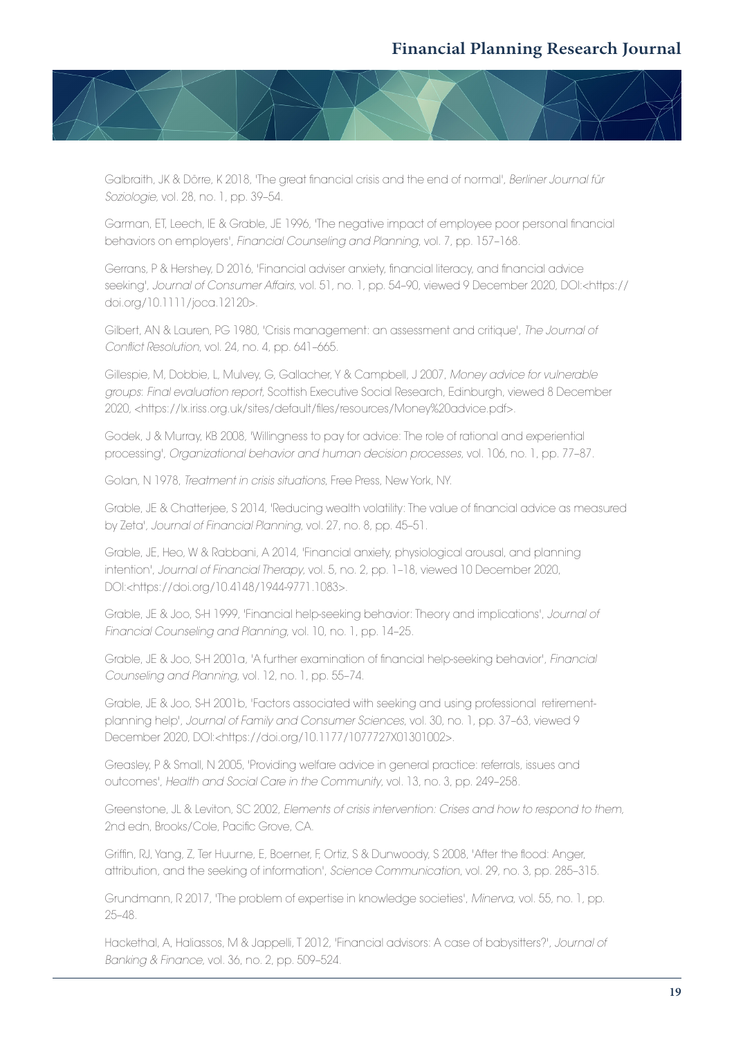

Galbraith, JK & Dörre, K 2018, 'The great financial crisis and the end of normal', *Berliner Journal für Soziologie*, vol. 28, no. 1, pp. 39–54.

Garman, ET, Leech, IE & Grable, JE 1996, 'The negative impact of employee poor personal financial behaviors on employers', *Financial Counseling and Planning*, vol. 7, pp. 157–168.

Gerrans, P & Hershey, D 2016, 'Financial adviser anxiety, financial literacy, and financial advice seeking', *Journal of Consumer Affairs*, vol. 51, no. 1, pp. 54–90, viewed 9 December 2020, DOI:<https:// doi.org/10.1111/joca.12120>.

Gilbert, AN & Lauren, PG 1980, 'Crisis management: an assessment and critique', *The Journal of Conflict Resolution*, vol. 24, no. 4, pp. 641–665.

Gillespie, M, Dobbie, L, Mulvey, G, Gallacher, Y & Campbell, J 2007, *Money advice for vulnerable groups*: *Final evaluation report*, Scottish Executive Social Research, Edinburgh, viewed 8 December 2020, <https://lx.iriss.org.uk/sites/default/files/resources/Money%20advice.pdf>.

Godek, J & Murray, KB 2008, 'Willingness to pay for advice: The role of rational and experiential processing', *Organizational behavior and human decision processes*, vol. 106, no. 1, pp. 77–87.

Golan, N 1978, *Treatment in crisis situations*, Free Press, New York, NY.

Grable, JE & Chatterjee, S 2014, 'Reducing wealth volatility: The value of financial advice as measured by Zeta', *Journal of Financial Planning*, vol. 27, no. 8, pp. 45–51.

Grable, JE, Heo, W & Rabbani, A 2014, 'Financial anxiety, physiological arousal, and planning intention', *Journal of Financial Therapy*, vol. 5, no. 2, pp. 1–18, viewed 10 December 2020, DOI:<https://doi.org/10.4148/1944-9771.1083>.

Grable, JE & Joo, S-H 1999, 'Financial help-seeking behavior: Theory and implications', *Journal of Financial Counseling and Planning*, vol. 10, no. 1, pp. 14–25.

Grable, JE & Joo, S-H 2001a, 'A further examination of financial help-seeking behavior', *Financial Counseling and Planning*, vol. 12, no. 1, pp. 55–74.

Grable, JE & Joo, S-H 2001b, 'Factors associated with seeking and using professional retirementplanning help', *Journal of Family and Consumer Sciences*, vol. 30, no. 1, pp. 37–63, viewed 9 December 2020, DOI:<https://doi.org/10.1177/1077727X01301002>.

Greasley, P & Small, N 2005, 'Providing welfare advice in general practice: referrals, issues and outcomes', *Health and Social Care in the Community*, vol. 13, no. 3, pp. 249–258.

Greenstone, JL & Leviton, SC 2002, *Elements of crisis intervention: Crises and how to respond to them*, 2nd edn, Brooks/Cole, Pacific Grove, CA.

Griffin, RJ, Yang, Z, Ter Huurne, E, Boerner, F, Ortiz, S & Dunwoody, S 2008, 'After the flood: Anger, attribution, and the seeking of information', *Science Communication*, vol. 29, no. 3, pp. 285–315.

Grundmann, R 2017, 'The problem of expertise in knowledge societies', *Minerva*, vol. 55, no. 1, pp. 25–48.

Hackethal, A, Haliassos, M & Jappelli, T 2012, 'Financial advisors: A case of babysitters?', *Journal of Banking & Finance*, vol. 36, no. 2, pp. 509–524.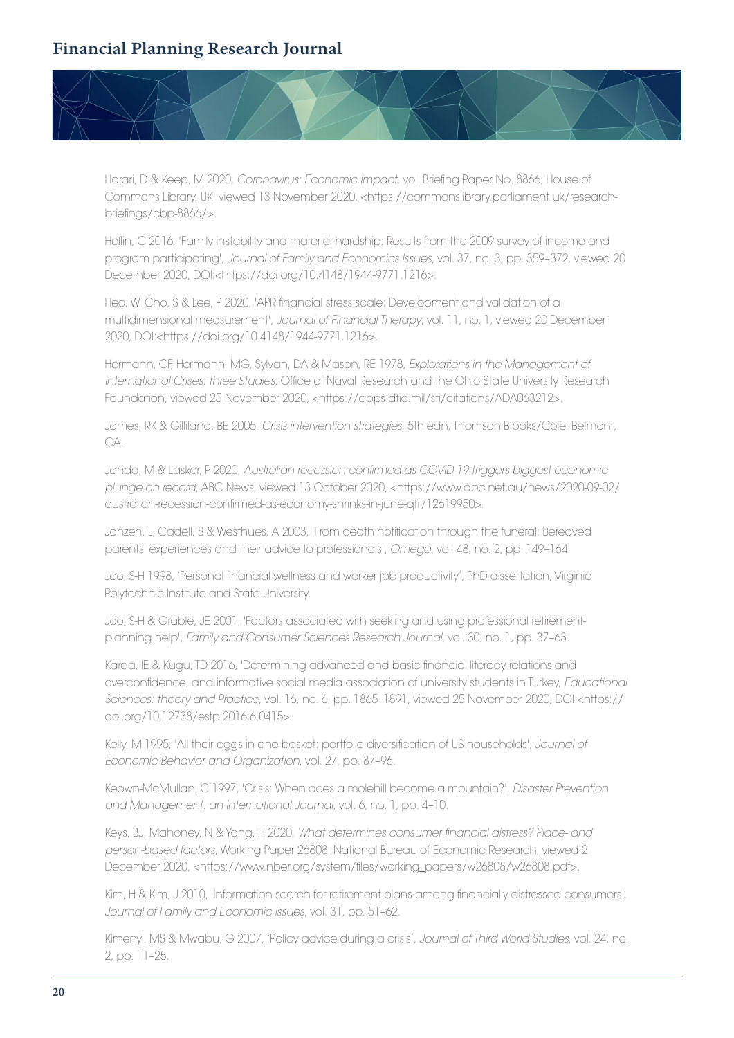

Harari, D & Keep, M 2020, *Coronavirus: Economic impact*, vol. Briefing Paper No. 8866, House of Commons Library, UK, viewed 13 November 2020, <https://commonslibrary.parliament.uk/researchbriefings/cbp-8866/>.

Heflin, C 2016, 'Family instability and material hardship: Results from the 2009 survey of income and program participating', *Journal of Family and Economics Issues*, vol. 37, no. 3, pp. 359–372, viewed 20 December 2020, DOI:<https://doi.org/10.4148/1944-9771.1216>.

Heo, W, Cho, S & Lee, P 2020, 'APR financial stress scale: Development and validation of a multidimensional measurement', *Journal of Financial Therapy*, vol. 11, no. 1, viewed 20 December 2020, DOI:<https://doi.org/10.4148/1944-9771.1216>.

Hermann, CF, Hermann, MG, Sylvan, DA & Mason, RE 1978, *Explorations in the Management of International Crises: three Studies*, Office of Naval Research and the Ohio State University Research Foundation, viewed 25 November 2020, <https://apps.dtic.mil/sti/citations/ADA063212>.

James, RK & Gilliland, BE 2005, *Crisis intervention strategies*, 5th edn, Thomson Brooks/Cole, Belmont, CA.

Janda, M & Lasker, P 2020, *Australian recession confirmed as COVID-19 triggers biggest economic plunge on record*, ABC News, viewed 13 October 2020, <https://www.abc.net.au/news/2020-09-02/ australian-recession-confirmed-as-economy-shrinks-in-june-qtr/12619950>.

Janzen, L, Cadell, S & Westhues, A 2003, 'From death notification through the funeral: Bereaved parents' experiences and their advice to professionals', *Omega*, vol. 48, no. 2, pp. 149–164.

Joo, S-H 1998, 'Personal financial wellness and worker job productivity', PhD dissertation, Virginia Polytechnic Institute and State University.

Joo, S-H & Grable, JE 2001, 'Factors associated with seeking and using professional retirementplanning help', *Family and Consumer Sciences Research Journal*, vol. 30, no. 1, pp. 37–63.

Karaa, IE & Kugu, TD 2016, 'Determining advanced and basic financial literacy relations and overconfidence, and informative social media association of university students in Turkey, *Educational Sciences: theory and Practice*, vol. 16, no. 6, pp. 1865–1891, viewed 25 November 2020, DOI:<https:// doi.org/10.12738/estp.2016.6.0415>.

Kelly, M 1995, 'All their eggs in one basket: portfolio diversification of US households', *Journal of Economic Behavior and Organization*, vol. 27, pp. 87–96.

Keown-McMullan, C 1997, 'Crisis: When does a molehill become a mountain?', *Disaster Prevention and Management: an International Journal*, vol. 6, no. 1, pp. 4–10.

Keys, BJ, Mahoney, N & Yang, H 2020, *What determines consumer financial distress? Place- and person-based factors*, Working Paper 26808, National Bureau of Economic Research, viewed 2 December 2020, <https://www.nber.org/system/files/working\_papers/w26808/w26808.pdf>.

Kim, H & Kim, J 2010, 'Information search for retirement plans among financially distressed consumers', *Journal of Family and Economic Issues*, vol. 31, pp. 51–62.

Kimenyi, MS & Mwabu, G 2007, 'Policy advice during a crisis', *Journal of Third World Studies*, vol. 24, no. 2, pp. 11–25.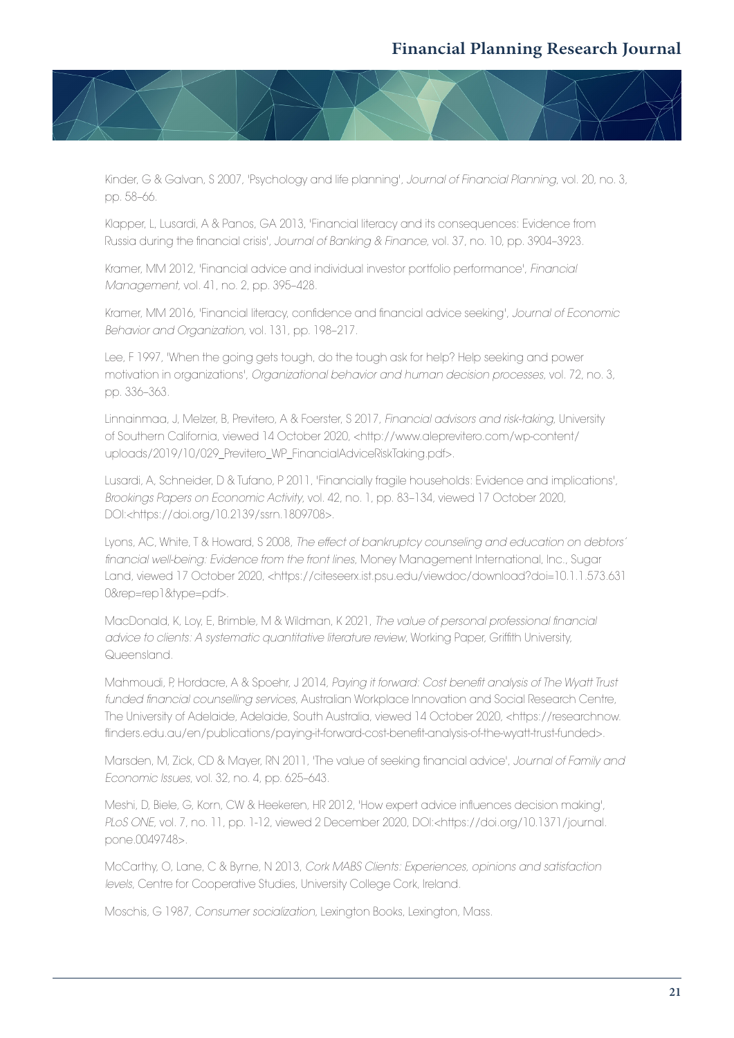

Kinder, G & Galvan, S 2007, 'Psychology and life planning', *Journal of Financial Planning*, vol. 20, no. 3, pp. 58–66.

Klapper, L, Lusardi, A & Panos, GA 2013, 'Financial literacy and its consequences: Evidence from Russia during the financial crisis', *Journal of Banking & Finance*, vol. 37, no. 10, pp. 3904–3923.

Kramer, MM 2012, 'Financial advice and individual investor portfolio performance', *Financial Management*, vol. 41, no. 2, pp. 395–428.

Kramer, MM 2016, 'Financial literacy, confidence and financial advice seeking', *Journal of Economic Behavior and Organization*, vol. 131, pp. 198–217.

Lee, F 1997, 'When the going gets tough, do the tough ask for help? Help seeking and power motivation in organizations', *Organizational behavior and human decision processes*, vol. 72, no. 3, pp. 336–363.

Linnainmaa, J, Melzer, B, Previtero, A & Foerster, S 2017, *Financial advisors and risk-taking*, University of Southern California, viewed 14 October 2020, <http://www.aleprevitero.com/wp-content/ uploads/2019/10/029\_Previtero\_WP\_FinancialAdviceRiskTaking.pdf>.

Lusardi, A, Schneider, D & Tufano, P 2011, 'Financially fragile households: Evidence and implications', *Brookings Papers on Economic Activity*, vol. 42, no. 1, pp. 83–134, viewed 17 October 2020, DOI:<https://doi.org/10.2139/ssrn.1809708>.

Lyons, AC, White, T & Howard, S 2008, *The effect of bankruptcy counseling and education on debtors' financial well-being: Evidence from the front lines*, Money Management International, Inc., Sugar Land, viewed 17 October 2020, <https://citeseerx.ist.psu.edu/viewdoc/download?doi=10.1.1.573.631 0&rep=rep1&type=pdf>.

MacDonald, K, Loy, E, Brimble, M & Wildman, K 2021, *The value of personal professional financial advice to clients: A systematic quantitative literature review*, Working Paper, Griffith University, Queensland.

Mahmoudi, P, Hordacre, A & Spoehr, J 2014, *Paying it forward: Cost benefit analysis of The Wyatt Trust funded financial counselling services*, Australian Workplace Innovation and Social Research Centre, The University of Adelaide, Adelaide, South Australia, viewed 14 October 2020, <https://researchnow. flinders.edu.au/en/publications/paying-it-forward-cost-benefit-analysis-of-the-wyatt-trust-funded>.

Marsden, M, Zick, CD & Mayer, RN 2011, 'The value of seeking financial advice', *Journal of Family and Economic Issues*, vol. 32, no. 4, pp. 625–643.

Meshi, D, Biele, G, Korn, CW & Heekeren, HR 2012, 'How expert advice influences decision making', *PLoS ONE*, vol. 7, no. 11, pp. 1-12, viewed 2 December 2020, DOI:<https://doi.org/10.1371/journal. pone.0049748>.

McCarthy, O, Lane, C & Byrne, N 2013, *Cork MABS Clients: Experiences, opinions and satisfaction levels*, Centre for Cooperative Studies, University College Cork, Ireland.

Moschis, G 1987, *Consumer socialization*, Lexington Books, Lexington, Mass.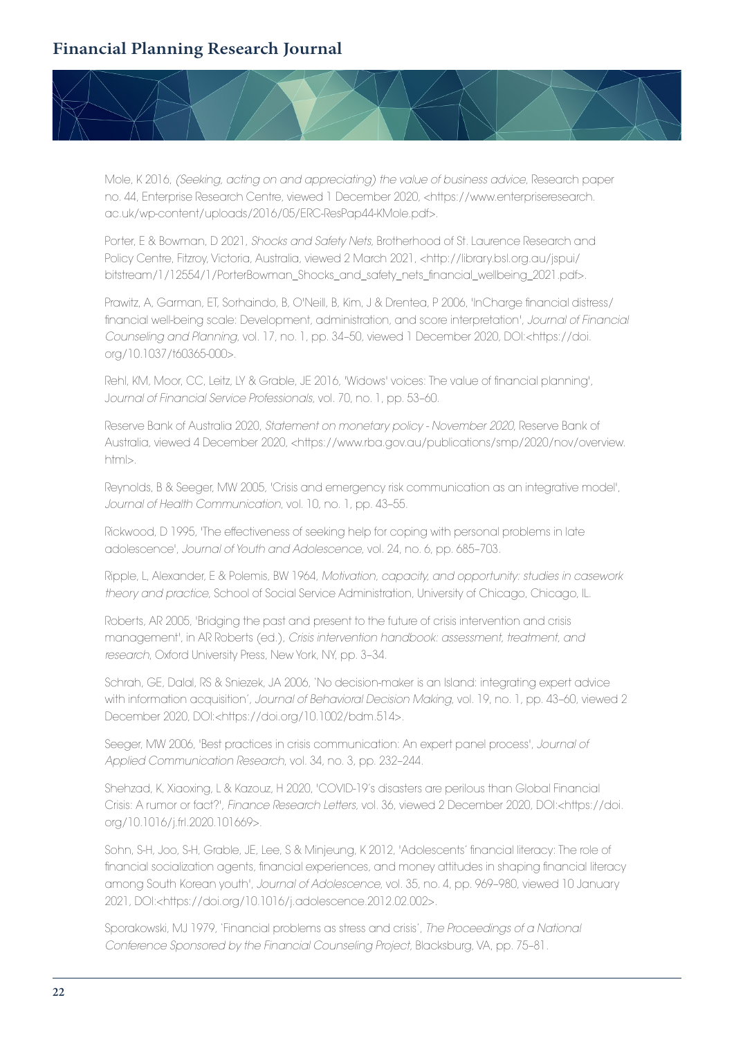

Mole, K 2016, *(Seeking, acting on and appreciating) the value of business advice*, Research paper no. 44, Enterprise Research Centre, viewed 1 December 2020, <https://www.enterpriseresearch. ac.uk/wp-content/uploads/2016/05/ERC-ResPap44-KMole.pdf>.

Porter, E & Bowman, D 2021, *Shocks and Safety Nets*, Brotherhood of St. Laurence Research and Policy Centre, Fitzroy, Victoria, Australia, viewed 2 March 2021, <http://library.bsl.org.au/jspui/ bitstream/1/12554/1/PorterBowman\_Shocks\_and\_safety\_nets\_financial\_wellbeing\_2021.pdf>.

Prawitz, A, Garman, ET, Sorhaindo, B, O'Neill, B, Kim, J & Drentea, P 2006, 'InCharge financial distress/ financial well-being scale: Development, administration, and score interpretation', *Journal of Financial Counseling and Planning*, vol. 17, no. 1, pp. 34–50, viewed 1 December 2020, DOI:<https://doi. org/10.1037/t60365-000>.

Rehl, KM, Moor, CC, Leitz, LY & Grable, JE 2016, 'Widows' voices: The value of financial planning', J*ournal of Financial Service Professionals*, vol. 70, no. 1, pp. 53–60.

Reserve Bank of Australia 2020, *Statement on monetary policy - November 2020*, Reserve Bank of Australia, viewed 4 December 2020, <https://www.rba.gov.au/publications/smp/2020/nov/overview. html>.

Reynolds, B & Seeger, MW 2005, 'Crisis and emergency risk communication as an integrative model', *Journal of Health Communication*, vol. 10, no. 1, pp. 43–55.

Rickwood, D 1995, 'The effectiveness of seeking help for coping with personal problems in late adolescence', *Journal of Youth and Adolescence*, vol. 24, no. 6, pp. 685–703.

Ripple, L, Alexander, E & Polemis, BW 1964, *Motivation, capacity, and opportunity: studies in casework theory and practice*, School of Social Service Administration, University of Chicago, Chicago, IL.

Roberts, AR 2005, 'Bridging the past and present to the future of crisis intervention and crisis management', in AR Roberts (ed.), *Crisis intervention handbook: assessment, treatment, and research*, Oxford University Press, New York, NY, pp. 3–34.

Schrah, GE, Dalal, RS & Sniezek, JA 2006, 'No decision-maker is an Island: integrating expert advice with information acquisition', *Journal of Behavioral Decision Making*, vol. 19, no. 1, pp. 43–60, viewed 2 December 2020, DOI:<https://doi.org/10.1002/bdm.514>.

Seeger, MW 2006, 'Best practices in crisis communication: An expert panel process', *Journal of Applied Communication Research*, vol. 34, no. 3, pp. 232–244.

Shehzad, K, Xiaoxing, L & Kazouz, H 2020, 'COVID-19's disasters are perilous than Global Financial Crisis: A rumor or fact?', *Finance Research Letters*, vol. 36, viewed 2 December 2020, DOI:<https://doi. org/10.1016/j.frl.2020.101669>.

Sohn, S-H, Joo, S-H, Grable, JE, Lee, S & Minjeung, K 2012, 'Adolescents' financial literacy: The role of financial socialization agents, financial experiences, and money attitudes in shaping financial literacy among South Korean youth', *Journal of Adolescence*, vol. 35, no. 4, pp. 969–980, viewed 10 January 2021, DOI:<https://doi.org/10.1016/j.adolescence.2012.02.002>.

Sporakowski, MJ 1979, 'Financial problems as stress and crisis', *The Proceedings of a National Conference Sponsored by the Financial Counseling Project*, Blacksburg, VA, pp. 75–81.